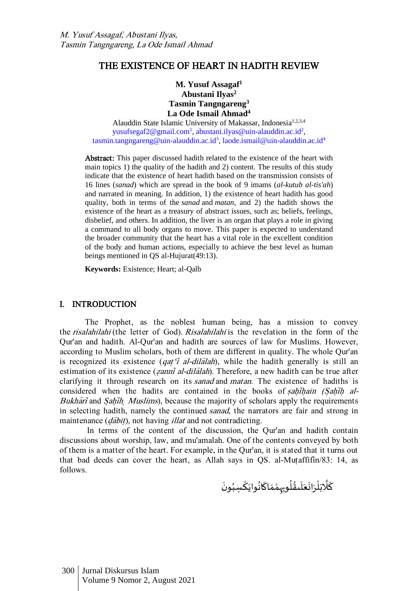# THE EXISTENCE OF HEART IN HADITH REVIEW

**M. Yusuf Assagaf<sup>1</sup> Abustani Ilyas<sup>2</sup> Tasmin Tangngareng<sup>3</sup> La Ode Ismail Ahmad<sup>4</sup>**

Alauddin State Islamic University of Makassar, Indonesia<sup>1,2,3,4</sup> [yusufsegaf2@gmail.com](mailto:yusufsegaf2@gmail.com1)<sup>1</sup>, [abustani.ilyas@uin-alauddin.ac.id](mailto:abustani.ilyas@uin-alauddin.ac.id2)<sup>2</sup>, [tasmin.tangngareng@uin-alauddin.ac.id](mailto:tasmin.tangngareng@uin-alauddin.ac.id3)<sup>3</sup>, [laode.ismail@uin-alauddin.ac.id](mailto:laode.ismail@uin-alauddin.ac.id4)<sup>4</sup>

Abstract: This paper discussed hadith related to the existence of the heart with main topics 1) the quality of the hadith and 2) content. The results of this study indicate that the existence of heart hadith based on the transmission consists of 16 lines (*sanad*) which are spread in the book of 9 imams (*al-kutub al-tis'ah*) and narrated in meaning. In addition, 1) the existence of heart hadith has good quality, both in terms of the *sanad* and *matan*, and 2) the hadith shows the existence of the heart as a treasury of abstract issues, such as; beliefs, feelings, disbelief, and others. In addition, the liver is an organ that plays a role in giving a command to all body organs to move. This paper is expected to understand the broader community that the heart has a vital role in the excellent condition of the body and human actions, especially to achieve the best level as human beings mentioned in QS al-Hujurat(49:13).

**Keywords:** Existence; Heart; al-Qalb

### I. INTRODUCTION

The Prophet, as the noblest human being, has a mission to convey the risalahilahi (the letter of God). Risalahilahi is the revelation in the form of the Qur'an and hadith. Al-Qur'an and hadith are sources of law for Muslims. However, according to Muslim scholars, both of them are different in quality. The whole Qur'an is recognized its existence (*qat*  $\overline{I}$  *al-dilalah*), while the hadith generally is still an estimation of its existence (*zanni al-dilalah*). Therefore, a new hadith can be true after clarifying it through research on its *sanad* and *matan*. The existence of hadiths is considered when the hadits are contained in the books of sahihain (Sahih al-Bukhari<sup>j</sup> and Sahih Muslims), because the majority of scholars apply the requirements in selecting hadith, namely the continued sanad, the narrators are fair and strong in maintenance  $(d\bar{a}bit)$ , not having *illat* and not contradicting.

In terms of the content of the discussion, the Qur'an and hadith contain discussions about worship, law, and mu'amalah. One of the contents conveyed by both of them is a matter of the heart. For example, in the Qur'an, it is stated that it turns out that bad deeds can cover the heart, as Allah says in QS. al-Mutaffifin/83: 14, as follows.

֠ كَلَّابَلْرَانَعَلَىقُلُو<sub>بِرَ</sub>هْمَاكَانُوايَكْسِبُونَ  $\ddot{\cdot}$ **ء** ْ  $\ddot{\ }$ ُ ֦  $\overline{\phantom{a}}$ ់<br>៖ **:** ٍ<br>ا ٍ<br>په  $\mathbf{r}$  $\overline{\phantom{a}}$  $\ddot{\phantom{0}}$  $\ddot{\cdot}$ ់<br>(  $\ddot{\ }$ اءِ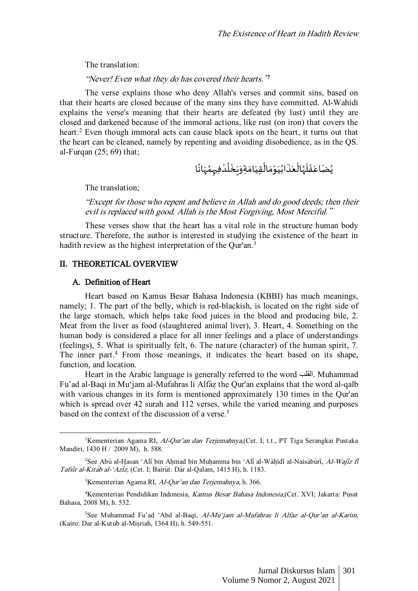The translation:

"Never! Even what they do has covered their hearts." 1

The verse explains those who deny Allah's verses and commit sins, based on that their hearts are closed because of the many sins they have committed. Al-Wahidi explains the verse's meaning that their hearts are defeated (by lust) until they are closed and darkened because of the immoral actions, like rust (on iron) that covers the heart.<sup>2</sup> Even though immoral acts can cause black spots on the heart, it turns out that the heart can be cleaned, namely by repenting and avoiding disobedience, as in the QS. al-Furqan (25; 69) that;

ؽؙۻؘٳعَفْلَهُالْعَذَابُيَوْمَالْقِيَامَةِوَيَخْلُدْفِ<sub>ِ</sub>مِمُهَانًا ً  $\overline{\phantom{a}}$ ر<br>م ْ ٍ<br>ا ؙ۠۠  $\ddot{\cdot}$  $\overline{\phantom{a}}$  $\ddot{\ }$  $\ddot{\phantom{0}}$ ֦֧֦֧֦  $\overline{\phantom{a}}$ ់<br>•  $\ddot{\phantom{0}}$ ُ  $\ddot{\cdot}$  $\frac{1}{2}$ ֦֧֦֧֦ ر<br>ر  $\overline{\phantom{a}}$ ֦֧֦֧֦֧֦֧֦֧֦֧֦֧֦֧֦֧֦֧֦֧֦֧֦֧֦֧֦֧֦  $\overline{\phantom{a}}$ ُ

The translation;

"Except for those who repent and believe in Allah and do good deeds; then their evil is replaced with good. Allah is the Most Forgiving, Most Merciful."

These verses show that the heart has a vital role in the structure human body structure. Therefore, the author is interested in studying the existence of the heart in hadith review as the highest interpretation of the Qur'an.<sup>3</sup>

#### II. THEORETICAL OVERVIEW

#### A. Definition of Heart

Heart based on Kamus Besar Bahasa Indonesia (KBBI) has much meanings, namely; 1. The part of the belly, which is red-blackish, is located on the right side of the large stomach, which helps take food juices in the blood and producing bile, 2. Meat from the liver as food (slaughtered animal liver), 3. Heart, 4. Something on the human body is considered a place for all inner feelings and a place of understandings (feelings), 5. What is spiritually felt, 6. The nature (character) of the human spirit, 7. The inner part. <sup>4</sup> From those meanings, it indicates the heart based on its shape, function, and location.

Heart in the Arabic language is generally referred to the word القلب. Muhammad Fu'ad al-Baqi in Mu'jam al-Mufahras li Alfaz the Qur'an explains that the word al-qalb with various changes in its form is mentioned approximately 130 times in the Qur'an which is spread over 42 surah and 112 verses, while the varied meaning and purposes based on the context of the discussion of a verse. 5

<sup>&</sup>lt;sup>1</sup>Kementerian Agama RI, Al-Qur'an dan Terjemahnya, (Cet. I; t.t., PT Tiga Serangkai Pustaka Mandiri, 1430 H / 2009 M), h. 588.

<sup>&</sup>lt;sup>2</sup>See Abū al-Hasan 'Ali bin Ahmad bin Muhamma bin 'Ali al-Wahidi al-Naisaburi, Al-Wajiz fi Tafsir al-Kitāb al-'Azīz, (Cet. I; Bairūt: Dār al-Qalam, 1415 H), h. 1183.

 $3$ Kementerian Agama RI, Al-Qur'an dan Terjemahnya, h. 366.

<sup>4</sup>Kementerian Pendidikan Indonesia, Kamus Besar Bahasa Indonesia,(Cet. XVI; Jakarta: Pusat Bahasa, 2008 M), h. 532.

<sup>5</sup>See Muhammad Fu'ad 'Abd al-Baqi, Al-Mu'jam al-Mufahras li Alfaz al-Qur'an al-Karim, (Kairo: Dar al-Kutub al-Misriah, 1364 H), h. 549-551.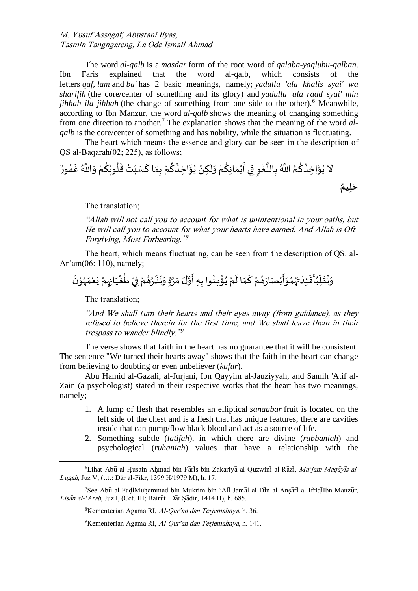The word *al-qalb* is a *masdar* form of the root word of *qalaba-yaqlubu-qalban*. Ibn Faris explained that the word al-qalb, which consists of the letters *qaf*, *lam* and *ba'* has 2 basic meanings, namely; *yadullu 'ala khalis syai' wa sharifih* (the core/center of something and its glory) and *yadullu 'ala radd syai' min jihhah ila jihhah* (the change of something from one side to the other).<sup>6</sup> Meanwhile, according to Ibn Manzur, the word *al-qalb* shows the meaning of changing something from one direction to another.<sup>7</sup> The explanation shows that the meaning of the word *alqalb* is the core/center of something and has nobility, while the situation is fluctuating.

The heart which means the essence and glory can be seen in the description of QS al-Baqarah(02; 225), as follows;

ٌ ور ُ ف غ َّللا اُ و ْ م ُ ك ُ وب ُ ل ُ ق تْ ب س اك ِم ب ْ م ُ ك ُ ِخذ ا ؤ ُ ي ْ ِكن ل و ْ م ُ ِك ان م ْ ي ِي أ ف ِ و ْ غ ا الل ِ ب ُ َّللا اُ م ُ ك ُ ِخذ ا ؤ ُ ي َل ٌ ِيم ل ح

The translation;

"Allah will not call you to account for what is unintentional in your oaths, but He will call you to account for what your hearts have earned. And Allah is Oft-Forgiving, Most Forbearing." 8

The heart, which means fluctuating, can be seen from the description of QS. al-An'am(06: 110), namely;

#### ْ وَنُقَلِّبُأَفْئِدَ ۖهُوَأَبْصَارَهُمْ كَمَا لَمْ يُؤْمِنُوا بِهِ أَوَّلَ مَرَّةٍ وَنَذَرُهُمْ فِيْ طُغْيَانِهِمْ يَعْمَهُوْنَ ٍ<br>ُ  $\ddot{\phantom{0}}$ ំ  $\ddot{\cdot}$  $\overline{\phantom{a}}$ ់<br>្ ر<br>ر  $\ddot{\ }$  $\overline{a}$ ؙؙ۠۠۠۠  $\ddot{\cdot}$ ُ ِّ  $\overline{I}$  $\ddot{\phantom{0}}$ ُ  $\overline{\phantom{a}}$ ُ ْ ُ ْ  $\tilde{\mathbf{r}}$  $\frac{1}{2}$ ֦  $\ddot{\cdot}$ ំ<br>• ؚ<br>ۣ  $\frac{1}{2}$ ْ  $\ddot{\cdot}$ ْ  $\ddot{\phantom{0}}$ ْ ٍ<br>م ֦֧֦֧֦֧֝<u>֚</u> ْ ٍ<br>ٌ ؚ<br>ؙ  $\ddot{\cdot}$  $\ddot{\cdot}$  $\ddot{\ }$  $\ddot{\ }$ ا<br>م  $\ddot{\cdot}$

The translation;

"And We shall turn their hearts and their eyes away (from guidance), as they refused to believe therein for the first time, and We shall leave them in their trespass to wander blindly."<sup>9</sup>

The verse shows that faith in the heart has no guarantee that it will be consistent. The sentence "We turned their hearts away" shows that the faith in the heart can change from believing to doubting or even unbeliever (*kufur*).

Abu Hamid al-Gazali, al-Jurjani, Ibn Qayyim al-Jauziyyah, and Samih 'Atif al-Zain (a psychologist) stated in their respective works that the heart has two meanings, namely;

- 1. A lump of flesh that resembles an elliptical *sanaubar* fruit is located on the left side of the chest and is a flesh that has unique features; there are cavities inside that can pump/flow black blood and act as a source of life.
- 2. Something subtle (*latifah*), in which there are divine (*rabbaniah*) and psychological (*ruhaniah*) values that have a relationship with the

<sup>8</sup>Kementerian Agama RI, Al-Qur'an dan Terjemahnya, h. 36.

<sup>&</sup>lt;sup>6</sup>Lihat Abu al-Husain Ahmad bin Faris bin Zakariya al-Quzwini al-Razi, Mu'jam Maqayis al-Lugah, Juz V, (t.t.: Dār al-Fikr, 1399 H/1979 M), h. 17.

<sup>&</sup>lt;sup>7</sup>See Abū al-FadlMuhammad bin Mukrim bin 'Ali Jamal al-Din al-Ansari al-Ifriqilbn Manzūr, Lisan al-'Arab, Juz I, (Cet. III; Bairut: Dar Sadir, 1414 H), h. 685.

<sup>&</sup>lt;sup>9</sup>Kementerian Agama RI, Al-Qur'an dan Terjemahnya, h. 141.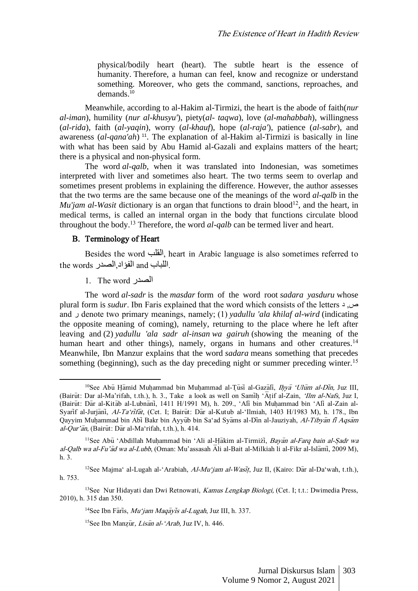physical/bodily heart (heart). The subtle heart is the essence of humanity. Therefore, a human can feel, know and recognize or understand something. Moreover, who gets the command, sanctions, reproaches, and demands. 10

Meanwhile, according to al-Hakim al-Tirmizi, the heart is the abode of faith(*nur al-iman*), humility (*nur al-khusyu'*), piety(*al- taqwa*), love (*al-mahabbah*), willingness (*al-rida*), faith (*al-yaqin*), worry (*al-khauf*), hope (*al-raja'*), patience (*al-sabr*), and awareness (*al-qana'ah*) <sup>11</sup>. The explanation of al-Hakim al-Tirmizi is basically in line with what has been said by Abu Hamid al-Gazali and explains matters of the heart; there is a physical and non-physical form.

The word *al-qalb*, when it was translated into Indonesian, was sometimes interpreted with liver and sometimes also heart. The two terms seem to overlap and sometimes present problems in explaining the difference. However, the author assesses that the two terms are the same because one of the meanings of the word *al-qalb* in the *Mu'jam al-Wasit* dictionary is an organ that functions to drain blood<sup>12</sup>, and the heart, in medical terms, is called an internal organ in the body that functions circulate blood throughout the body.<sup>13</sup> Therefore, the word *al-qalb* can be termed liver and heart.

## B. Terminology of Heart

Besides the word القلب, heart in Arabic language is also sometimes referred to the words اللباب and الفؤاد الصدر.

1. The word الصدر

The word *al-sadr* is the *masdar* form of the word root *sadara yasduru* whose plural form is *sudur*. Ibn Faris explained that the word which consists of the letters <sup>2</sup> من, د and ر denote two primary meanings, namely; (1) *yadullu 'ala khilaf al-wird* (indicating the opposite meaning of coming), namely, returning to the place where he left after leaving and (2) *yadullu 'ala sadr al-insan wa gairuh* (showing the meaning of the human heart and other things), namely, organs in humans and other creatures.<sup>14</sup> Meanwhile, Ibn Manzur explains that the word *sadara* means something that precedes something (beginning), such as the day preceding night or summer preceding winter.<sup>15</sup>

<sup>&</sup>lt;sup>10</sup>See Abu Hāmid Muhammad bin Muhammad al-Tusi al-Gazali, Ihya 'Ulum al-Din, Juz III, (Bairut: Dar al-Ma'rifah, t.th.), h. 3., Take a look as well on Samih 'Atif al-Zain, 'Ilm al-Nafs, Juz I, (Bairūt: Dar al-Kitab al-Lubnani, 1411 H/1991 M), h. 209., 'Ali bin Muhammad bin 'Ali al-Zain al-Syarif al-Jurjani, Al-Ta'rifat, (Cet. I; Bairut: Dar al-Kutub al-'Ilmiah, 1403 H/1983 M), h. 178., Ibn Qayyim Muhammad bin Abi Bakr bin Ayyub bin Sa'ad Syams al-Din al-Jauziyah, Al-Tibyan fi Aqsam  $al$ -Qur'ān, (Bairūt: Dār al-Ma'rifah, t.th.), h. 414.

<sup>&</sup>lt;sup>11</sup>See Abu<sup>\*</sup> Abdillah Muhammad bin 'Ali al-Hakim al-Tirmizi, Bayan al-Farq bain al-Sadr wa al-Qalb wa al-Fu'ad wa al-Lubb, (Oman: Mu'assasah Ali al-Bait al-Milkiah li al-Fikr al-Islami, 2009 M), h. 3.

<sup>&</sup>lt;sup>12</sup>See Majma' al-Lugah al-'Arabiah, *Al-Mu'jam al-Wasit*, Juz II, (Kairo: Dar al-Da'wah, t.th.), h. 753.

<sup>&</sup>lt;sup>13</sup>See Nur Hidayati dan Dwi Retnowati, *Kamus Lengkap Biologi*, (Cet. I; t.t.: Dwimedia Press, 2010), h. 315 dan 350.

<sup>&</sup>lt;sup>14</sup>See Ibn Faris, *Mu'jam Maqayis al-Lugah*, Juz III, h. 337.

<sup>&</sup>lt;sup>15</sup>See Ibn Manzūr, *Lisān al-'Arab*, Juz IV, h. 446.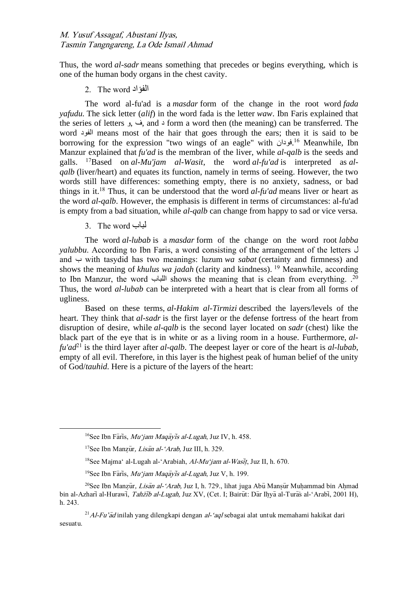Thus, the word *al-sadr* means something that precedes or begins everything, which is one of the human body organs in the chest cavity.

# 2. The word الفؤاد

The word al-fu'ad is a *masdar* form of the change in the root word *fada yafudu.* The sick letter (*alif*) in the word fada is the letter *waw*. Ibn Faris explained that the series of letters و, ف, and د form a word then (the meaning) can be transferred. The word الفود means most of the hair that goes through the ears; then it is said to be borrowing for the expression "two wings of an eagle" with فودان. <sup>16</sup> Meanwhile, Ibn Manzur explained that *fu'ad* is the membran of the liver, while *al-qalb* is the seeds and galls. <sup>17</sup>Based on *al-Mu'jam al-Wasit*, the word *al-fu'ad* is interpreted as *alqalb* (liver/heart) and equates its function, namely in terms of seeing. However, the two words still have differences: something empty, there is no anxiety, sadness, or bad things in it.<sup>18</sup> Thus, it can be understood that the word *al-fu'ad* means liver or heart as the word *al-qalb*. However, the emphasis is different in terms of circumstances: al-fu'ad is empty from a bad situation, while *al-qalb* can change from happy to sad or vice versa.

3. The word لباب

The word *al-lubab* is a *masdar* form of the change on the word root *labba yalubbu*. According to Ibn Faris, a word consisting of the arrangement of the letters ل and ب with tasydid has two meanings: luzum *wa sabat* (certainty and firmness) and shows the meaning of *khulus wa jadah* (clarity and kindness). <sup>19</sup> Meanwhile, according to Ibn Manzur, the word اللباب shows the meaning that is clean from everything. . 20 Thus, the word *al-lubab* can be interpreted with a heart that is clear from all forms of ugliness.

Based on these terms, *al-Hakim al-Tirmizi* described the layers/levels of the heart. They think that *al-sadr* is the first layer or the defense fortress of the heart from disruption of desire, while *al-qalb* is the second layer located on *sadr* (chest) like the black part of the eye that is in white or as a living room in a house. Furthermore, *alfu'ad*<sup>21</sup> is the third layer after *al-qalb*. The deepest layer or core of the heart is *al-lubab*, empty of all evil. Therefore, in this layer is the highest peak of human belief of the unity of God/*tauhid*. Here is a picture of the layers of the heart:

<sup>&</sup>lt;sup>16</sup>See Ibn Faris, *Mu'jam Maqavis al-Lugah*, Juz IV, h. 458.

<sup>&</sup>lt;sup>17</sup>See Ibn Manzūr, *Lisān al-'Arab*, Juz III, h. 329.

<sup>&</sup>lt;sup>18</sup>See Maima<sup>\*</sup> al-Lugah al-'Arabiah, *Al-Mu<sup>\*</sup>iam al-Wasit*, Juz II, h. 670.

<sup>&</sup>lt;sup>19</sup>See Ibn Faris, *Mu'jam Magavis al-Lugah*, Juz V, h. 199.

<sup>&</sup>lt;sup>20</sup>See Ibn Manzūr, *Lisān al-'Arab*, Juz I, h. 729., lihat juga Abū Mansūr Muhammad bin Ahmad bin al-Azhari al-Hurawi, Tahzīb al-Lugah, Juz XV, (Cet. I; Bairūt: Dār Ihyā al-Turās al-'Arabi, 2001 H), h. 243.

 $^{21}$ Al-Fu'ad inilah yang dilengkapi dengan al-'aql sebagai alat untuk memahami hakikat dari sesuatu.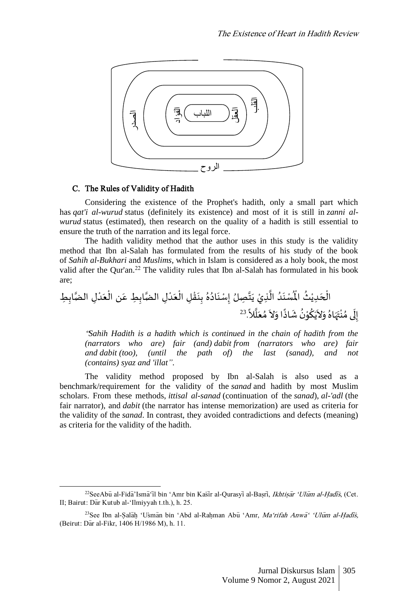

# C. The Rules of Validity of Hadith

Considering the existence of the Prophet's hadith, only a small part which has *qat'i al-wurud* status (definitely its existence) and most of it is still in *zanni alwurud* status (estimated), then research on the quality of a hadith is still essential to ensure the truth of the narration and its legal force.

The hadith validity method that the author uses in this study is the validity method that Ibn al-Salah has formulated from the results of his study of the book of *Sahih al-Bukhari* and *Muslims*, which in Islam is considered as a holy book, the most valid after the Qur'an.<sup>22</sup> The validity rules that Ibn al-Salah has formulated in his book are;

ِل ْ د ع ْ ن ال ِ ِط ع اب ِل الضا ْ د ع ْ ِل ال ْ ق ن ِ ب ُ ه ُ اد ن ِسْ إ ِصلُ ا ت ي ِذيْ ا ال ُ د ن سْ ُْ اْل ُ ث ْ ِدي ح ْ ِ ِط ال اب الضا ً َّل ا ل ع ُ م َل او ً اذ ش ُ ن ْ و ُ ك ي َل و ُ اه ه ت ْ ن ُ ىم ل ِ إ . 23

"*Sahih Hadith is a hadith which is continued in the chain of hadith from the (narrators who are) fair (and) dabit from (narrators who are) fair and dabit (too), (until the path of) the last (sanad), and not (contains) syaz and 'illat".*

The validity method proposed by Ibn al-Salah is also used as a benchmark/requirement for the validity of the *sanad* and hadith by most Muslim scholars. From these methods, *ittisal al-sanad* (continuation of the *sanad*), *al-'adl* (the fair narrator), and *dabit* (the narrator has intense memorization) are used as criteria for the validity of the *sanad*. In contrast, they avoided contradictions and defects (meaning) as criteria for the validity of the hadith.

 $^{22}$ SeeAbu al-Fida<sup>2</sup> Isma<sup>-</sup>il bin 'Amr bin Kasir al-Qurasyi al-Basri, *Ikhtisar 'Ulum al-Hadis*, (Cet. II; Bairut: Dar Kutub al-'Ilmiyyah t.th.), h. 25.

<sup>&</sup>lt;sup>23</sup>See Ibn al-Salah 'Usman bin 'Abd al-Rahman Abu 'Amr, Ma'rifah Anwa<sup>s</sup> 'Ulum al-Hadis, (Beirut: Dar al-Fikr, 1406 H/1986 M), h. 11.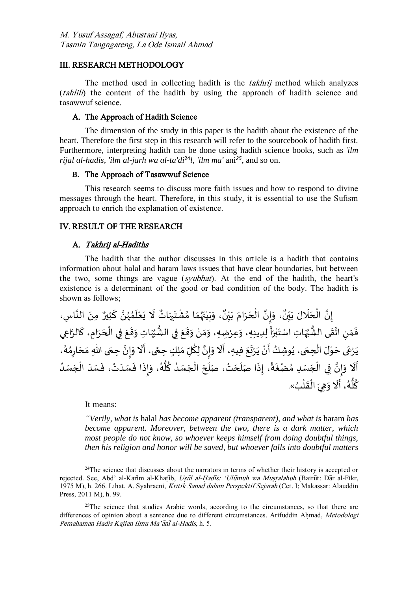## III. RESEARCH METHODOLOGY

The method used in collecting hadith is the *takhrij* method which analyzes (tahlili) the content of the hadith by using the approach of hadith science and tasawwuf science.

## A. The Approach of Hadith Science

The dimension of the study in this paper is the hadith about the existence of the heart. Therefore the first step in this research will refer to the sourcebook of hadith first. Furthermore, interpreting hadith can be done using hadith science books, such as *'ilm rijal al-hadis, 'ilm al-jarh wa al-ta'di*<sup>24</sup>*l, 'ilm ma'* ani*<sup>25</sup>* , and so on.

# **B.** The Approach of Tasawwuf Science

This research seems to discuss more faith issues and how to respond to divine messages through the heart. Therefore, in this study, it is essential to use the Sufism approach to enrich the explanation of existence.

### IV. RESULT OF THE RESEARCH

### A. Takhrij al-Hadiths

The hadith that the author discusses in this article is a hadith that contains information about halal and haram laws issues that have clear boundaries, but between the two, some things are vague (syubhat). At the end of the hadith, the heart's existence is a determinant of the good or bad condition of the body. The hadith is shown as follows;

، وَبَيْنَهُمَا مُشْتَبِهَاتٌ لَا يَعْلَمُهُنَّ كَثِي  $\overline{\phantom{a}}$ ا ؚ<br>ۣ ؚ<br>؞  $\mathbf{r}$ ֦֧֦֦֧֝<u>֦</u>  $\ddot{\cdot}$  $\tilde{t}$  $\overline{\phantom{a}}$ ِ  $\ddot{\phantom{0}}$ ْ ؚ<br>؞  $\frac{1}{2}$ ر<br>ر  $\ddot{\phantom{0}}$ ֦֧<u>֫</u>  $\ddot{\cdot}$  $\tilde{ }$ و<br>. ، وَإِنَّ الْحَرَامَ بَيِّنٌ ِّ ي  $\ddot{\cdot}$  $\frac{1}{2}$  $\ddot{\cdot}$  $\overline{\phantom{a}}$ ْ بة  $\frac{1}{2}$  $\overline{\phantom{a}}$ ٍ<br>پ إِنَّ الْحَلَالَ بَيِّنٌ، وَإِنَّ الْحَرَامَ بَيِّنٌ، وَبَيْنَهُمَا مُشْتَبِهَاتٌ لَا يَعْلَمُهُنَّ كَثِيرٌ مِنَ النَّاسِ، ِّ ي  $\ddot{\phantom{0}}$  $\overline{\phantom{a}}$  $\overline{\phantom{a}}$ ْ بة الة  $\ddot{\cdot}$ فَمَنِ اتَّقَى الشُّبُهَاتِ اسْتَبْرَأَ لِدِينِهِ، وَعِرْضِهِ، وَمَنْ وَقَعَ فِي الشُّبُهَاتِ وَقَعَ فِي الْحَرَامِ، كَالرَّاعِي  $\overline{\phantom{a}}$ **ृ**  $\ddot{\cdot}$  $\overline{\phantom{a}}$ ْ  $\ddot{\phantom{0}}$  $\ddot{\phantom{0}}$  $\ddot{\ }$ ا<br>مد ُ ُّ  $\ddot{\phantom{0}}$  $\ddot{\phantom{0}}$  $\ddot{\ }$ ំ<br>•  $\ddot{\ }$  $\frac{1}{2}$  $\overline{\phantom{a}}$ ֧֪֪֦֧֧֧֦֧֧֧֦֧֧֧֧֧֧֧֪֦֧֝֝֝֝֝֝֝֬֝֓֝֬֝֓֕֓֟֓֟֓֟֓֟֓֟֓֟֓֟֓֟֓֟֓֟֓֝֟֓֟֓֟֓֝֓֝֓֟֓֝֓֟֓֝֬֝֓֝֬֝֓֝֬֝֟֟֓֝  $\ddot{\phantom{0}}$ ់<br>**់** ب  $\ddot{\ }$  $\ddot{\mathbf{z}}$ ٍ<br>• و<br>پ<sup>و</sup> .<br>.<br>. ا<br>: ِ  $\overline{a}$  $\ddot{\cdot}$ ِ<br>يَرْعَى حَوْلَ الْحِمَى، يُوشِكُ أَنْ يَرْتَعَ فِيهِ، أَلَا وَإِنَّ لِكُلِّ مَلِكٍ حِمَّى، أَلَا وَإِنَّ حِمَى اللهِ مَحَارِمُهُ،  $\ddot{\phantom{0}}$ ا<br>په !<br>י  $\ddot{\phantom{0}}$ ۔<br>أ ֧֖֚֚֝<br>֧֧֢֧֧֧֚֚֚֚֚֚֚֚֚֚֚֚֚֚֚֚֝֝֘֝֟֓֟֓֟֓֝֬֝֓ ้<br>ถ  $\frac{1}{2}$ ُ اتا<br>•  $\sum_{i=1}^{n}$  $\ddot{\ }$  -<br>۽  $\ddot{\phantom{0}}$  $\ddot{ }$  $\ddot{\cdot}$ ់<br>•  $\frac{1}{2}$ ُ  $\ddot{\phantom{0}}$ ْ ់<br>•  $\overline{\phantom{a}}$  $\overline{\phantom{a}}$  $\ddot{\cdot}$ ۔<br>م ؚ<br>؞ ِ  $\overline{\phantom{a}}$  $\ddot{\cdot}$ ِّ أَلَا وَإِنَّ فِي الْجَسَدِ مُضْغَةً، إِذَا صَلَحَتْ، صَلَّحَ الْجَسَدُ كُلُّهُ، وَإِذَا فَسَدَتْ، فَسَدَ الْجَسَدُ  $\overline{\phantom{a}}$ ֦֧֦֧֦֧֦֧֦֧֦֧֧֦֧֧֝֜֜֓֓֜֜֜֓֓<u>֚</u>  $\ddot{\phantom{0}}$  $\ddot{\cdot}$ ់<br>•  $\ddot{\phantom{0}}$  $\vdots$  $\frac{1}{2}$  $\frac{1}{2}$  $\ddot{\ }$ ِّ<br>مُ ہ<br>آ ُ ُّ  $\overline{\phantom{a}}$ ֦֧֦֧֦֧֦֧֦֧֦֧֧֦֧֧֝֜֜֓֓֜֜֜֓֓<u>֚</u>  $\overline{\phantom{a}}$  $\epsilon$  $\overline{\phantom{a}}$ ์<br>เ  $\vdots$ اً<br>ب  $\ddot{\cdot}$ ؚ<br>؞  $\overline{\phantom{a}}$ ֦֧֦֧֦֧֦֧֦֧֦֧֦֧֦֧֦֧֦֧֦֧֦֜֜֓֜֜֜֜֜֜֜֜֜֜֜֜<br>**֡** انة<br>• اِ  $\ddot{\ }$ ֦֦֪֦֪֦֪֪֦֝֝֝֝֝֝֝֝֝֝֓֝֝֓֝֝֟<br>֧֧֧֪֪֪֪֪֪֝֝֟֝֟֬֟֓֟֓֟֓֟֓֝֬֝֓֟֝֝֝ ֪֧֧֬֬֬֬֬֝֬֓֟֓֟֓֟֬֓֝֬֝֬֓֝֬֝֬֝֬֝֬֝֬֝֬֝֬֝֬֝֬ كُلُّهُ، أَلَا وَهِيَ الْقَلْبُ». **ٔ**  $\frac{1}{2}$ ْ  $\ddot{\phantom{0}}$ .<br>^ ֧֪֪֪֪֦֧֝֬֝֝֜֜*֓*  ر<br>ر و<br>أُو ُ

It means:

*"Verily, what is* halal *has become apparent (transparent), and what is* haram *has become apparent. Moreover, between the two, there is a dark matter, which most people do not know, so whoever keeps himself from doing doubtful things, then his religion and honor will be saved, but whoever falls into doubtful matters* 

 $24$ The science that discusses about the narrators in terms of whether their history is accepted or rejected. See, Abd' al-Karim al-Khatib, Usūl al-Hadis: 'Ulumuh wa Mustalahuh (Bairut: Dar al-Fikr, 1975 M), h. 266. Lihat, A. Syahraeni, Kritik Sanad dalam Perspektif Sejarah (Cet. I; Makassar: Alauddin Press, 2011 M), h. 99.

 $25$ The science that studies Arabic words, according to the circumstances, so that there are differences of opinion about a sentence due to different circumstances. Arifuddin Ahmad, Metodologi Pemahaman Hadis Kajian Ilmu Ma'ani al-Hadis, h. 5.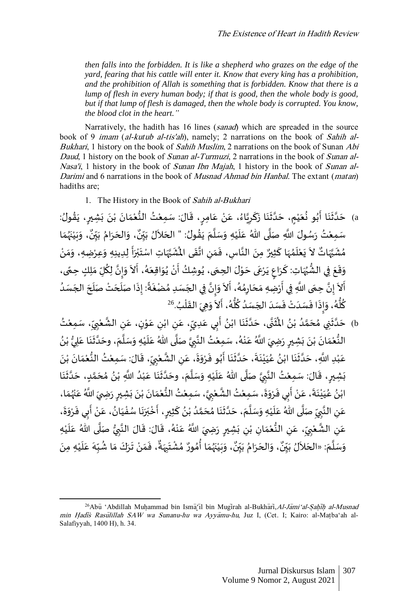*then falls into the forbidden. It is like a shepherd who grazes on the edge of the yard, fearing that his cattle will enter it. Know that every king has a prohibition, and the prohibition of Allah is something that is forbidden. Know that there is a lump of flesh in every human body; if that is good, then the whole body is good, but if that lump of flesh is damaged, then the whole body is corrupted. You know, the blood clot in the heart."*

Narratively, the hadith has 16 lines (sanad) which are spreaded in the source book of 9 *imam (al-kutub al-tis'ah)*, namely; 2 narrations on the book of Sahih al-Bukhari, 1 history on the book of Sahih Muslim, 2 narrations on the book of Sunan Abi Daud, 1 history on the book of Sunan al-Turmuzi, 2 narrations in the book of Sunan al-Nasa'i, 1 history in the book of Sunan Ibn Majah, 1 history in the book of Sunan al-Darimi and 6 narrations in the book of Musnad Ahmad bin Hanbal. The extant (matan) hadiths are;

1. The History in the Book of Sahih al-Bukhari

a) حَدَّثَنَا أَبُو نُعَيْمٍ، حَدَّثَنَا زَكَرِيَّاءُ، عَنْ عَامِرٍ، قَالَ: سَمِعْتُ النُّعْمَانَ بْنَ بَشِيرٍ، يَقُولُ: ۠<br>ؙ  $\frac{1}{2}$ ُ ُ  $\epsilon$  $\ddot{\cdot}$  $\ddot{\cdot}$ ا  $\overline{\phantom{a}}$ ُ  $\ddot{\cdot}$ <u>رِ</u>  $\ddot{\cdot}$  $\ddot{\cdot}$ ំ<br>•  $\ddot{\cdot}$  $\frac{1}{2}$ ْ ُّ ់<br>រ  $\frac{1}{2}$ ٍ  $\overline{\phantom{a}}$ ْ  $\overline{\phantom{a}}$ ُ ا<br>ا ِ ֦  $\ddot{\phantom{0}}$  $\ddot{\cdot}$  $\ddot{\cdot}$ ا  $\overline{\phantom{a}}$ ، وَبَيْنَهُمَا  $\frac{1}{1}$ ر<br>زر  $\ddot{\cdot}$ ֦֧֦֧֦֧<u>֦</u>  $\ddot{\cdot}$  $\tilde{\cdot}$ ٍ<br>پ ، وَالحَرَامُ بَيِّنٌ ِّ ي  $\ddot{\cdot}$ ِّدُ  $\ddot{\cdot}$  $\overline{\phantom{a}}$  $\ddot{\ }$ ٍ<br>پ سَمِعْتُ رَسُولَ اللَّهِ صَلَّى اللهُ عَلَيْهِ وَسَلَّمَ يَقُولُ: " الحَلاَلُ بَيِّنٌ ِّ ي  $\ddot{\cdot}$  $\ddot{\phantom{0}}$  $\overline{\phantom{a}}$ ِ<br>په  $\vdots$  $\overline{\phantom{a}}$ اء  $\ddot{\ }$ ۠<br>ؙ  $\mathbf{r}$  $\overline{\phantom{a}}$ اة  $\ddot{\phantom{0}}$ ំ<br>រ مُشَبَّهَاتٌ لاَ يَعْلَمُهَا كَثِيرٌ مِنَ النَّاسِ، فَمَنِ اتَّقَى المُشَبَّهَاتِ اسْتَبْرَأَ لِدِينِهِ وَعِرْضِهِ، وَمَنْ  $\ddot{\cdot}$ ֦  $\overline{\phantom{a}}$ ر<br>م  $\frac{1}{1}$ ំ<br>រ  $\ddot{\cdot}$  $\ddot{\phantom{0}}$ j ا ֦֧֦֧֦ ؚ<br>؞ ់<br>:  $\frac{1}{2}$  $\ddot{\ }$  $\tilde{\cdot}$ ֧֦֧֦֧֦֧֧֦֧֦֧֦֧֦֧֦֧֦֧֦֧֦֧֦֧֧֧֧֦֧֞֝֜֕֓֕֝֝֬֜֜֓֕֓֝֬֜֓  $\ddot{\cdot}$ ់<br>**់** ب  $\ddot{\cdot}$ j اء  $\ddot{\phantom{0}}$ ِ<br>ا  $\ddot{\cdot}$ **ال**<br>• ِ  $\frac{1}{1}$  $\ddot{\cdot}$ بة وَقَعَ فِي الشُّبُهَاتِ: كَرَاعٍ يَرْعَى حَوْلَ الحِمَى، يُوشِكُ أَنْ يُوَاقِعَهُ، أَلاَ وَإِنَّ لِكُلِّ مَلِكٍ حِمًى، ً<br>أ  $\ddot{\ }$ ُ ا  $\frac{1}{2}$  $\ddot{\phantom{0}}$ ֖֞  $\cdot$ ٍ<br>مُ  $\overline{\phantom{a}}$  $\ddot{\phantom{0}}$ ُ ំ<br>• -<br>F **ءِ**  $\ddot{\phantom{0}}$ ់<br>្  $\ddot{\phantom{0}}$ ر<br>م  $\ddot{\cdot}$ **∶**  $\ddot{\cdot}$ ֦  $\ddot{\mathbf{z}}$ ر<br>• ُّ  $\ddot{\phantom{0}}$ ֦֧֦֧֦֧֦֧֦֧֦֧֦֜֜֜֜֜֜֜֜  $\overline{\phantom{a}}$ ์ ِّتَ حِجِّي اللَّهِ فِي أَرْضِهِ مَحَارِمُهُ، أَلاَ وَإِنَّ فِي الجَسَدِ مُضْغَةً: إِذَا صَلَّحَتْ صَلَحَ الجَسَدُ ֺ֚֚<br>֧֧֚֚֚֚֚֚֚֚֚֚֚֝֘֝֝֘֝֬֝֬֝֓֝֬֝֬֝֬֝֬֝֬֝֬֝֓ ै<br>द ؚ<br>؞ ِ  $\overline{\phantom{a}}$  $\frac{1}{\sqrt{2}}$ ْ -<br>F  $\ddot{\phantom{0}}$ بة ֞֝֝֝<br>֝֟֝ ֝֟֝֟֝֟֝֟֟֟֟֟֟֓֟֓֕֝֟֓֟֓֟֓֟֓֟֓֟֓֕֝֟֓֟֓֕֝֓֟ ُ<br>ُ'  $\ddot{\phantom{0}}$  $\overline{\phantom{a}}$  $\mathbf{r}$  $\overline{\phantom{a}}$ نو<br>آ  $\ddot{\cdot}$ ً ֚֡֝<br>֧֧֚֚֚֚֚֚֚֚֚֝ ؚ<br>؞  $\overline{\phantom{a}}$ ا<br>په  $\frac{1}{2}$  $\tilde{\cdot}$ كُلُّهُ، وَإِذَا فَ*سَدَ*تَ فَسَدَ الجَسَدُ كُلُّهُ، أَلاً وَهِيَ القَلْبُ<sup>.26</sup> ֦֧֦֧֦  $\ddot{\phantom{0}}$  $\ddot{\phantom{0}}$  $\ddot{\ }$  $\tilde{\epsilon}$  $\ddot{\cdot}$ ر<br>ر ہ<br>ا ِّ :<br>و  $\overline{\phantom{a}}$  $\overline{\phantom{a}}$  $\ddot{\cdot}$ ٝ<br>ٔ  $\overline{\phantom{a}}$ -<br>: ۔<br>:  $\frac{1}{2}$  $\ddot{\ }$ و<br>م و<br>أو ِ ֖֚֚֝֝<br>֧֧֧֧֚֚֚֚֚֚֝֝֬֝֬֝֝֝֬֝֬֝֬֝֬֝֬֝֬֝֬֝֬֝

b) حَدَّثَنِي مُحَمَّدُ بْنُ المُثَنَّى، حَدَّثَنَا ابْنُ أَبِي عَدِيِّ، عَنِ ابْنِ عَوْنٍ، عَنِ الشَّعْبِيِّ، سَمِعْتُ ْ ِ ِّ **∶** ْ ان<br>م ِ  $\overline{\phantom{a}}$ ֦֧֦֧֦  $\frac{1}{2}$ ំ ِ  $\overline{\phantom{a}}$ ٍ، ֧֞ ا<br>: **ءِ** ់<br>•  $\ddot{\cdot}$  $\ddot{\mathbf{r}}$ اند<br>ا  $\ddot{\phantom{0}}$ الأ ر<br>1 ٍّ ំ و<br>و ا<br>م  $\overline{\phantom{a}}$ ر<br>م  $\ddot{\cdot}$ اته  $\ddot{\phantom{0}}$ ُ ر عليه النُّعْمَانَ بْنَ بَشِيرٍ رَضِيَ اللَّهُ عَنْهُ، سَمِعْتُ النَّبِيَّ صَلَّى اللّهُ عَلَيْهِ وَسَلَّمَ، وحَدَّثَنَا عَلِيُّ بْنُ ់<br>• ُّ  $\overline{\phantom{a}}$  $\ddot{\cdot}$ ້ ا  $\ddot{\phantom{0}}$  $\ddot{\phantom{0}}$ سم<br>آ  $\ddot{\ }$ ֦֧֦֧<u>֦</u>  $\tilde{\cdot}$  $\overline{\phantom{a}}$ ا ֖֖֖֧ׅ֦֧֧֧֧֚֚֚֚֚֚֚֚֚֚֚֚֚֚֚֚֚֚֚֚֝֝֡֡֓֡֡֓֡֟֓֡֟֓֡֟֓֡֟֓֡֟֓֡֟֓֡֟֓֡֬֜֓֓֞֡֝֬֓֞֡֬֝֬֝֬֝֬֝֬ **∶** الأ ْ ر<br>ر ْ  $\overline{\phantom{a}}$  $\ddot{\cdot}$  $\ddot{\cdot}$  $\ddot{\cdot}$ ំ<br>•  $\ddot{\cdot}$  $\frac{1}{\alpha}$ ំ ُّ  $\ddot{\cdot}$ مَّتِ اللَّهِ، حَدَّثَنَا ابْنُ عُيَيْنَةَ، حَدَّثَنَا أَبُو فَرْوَةَ، عَنِ الشَّعْبِيِّ، قَالَ: سَمِعْتُ النُّعْمَانَ بْنَ ំ<br>• -<br>-<br>•  $\frac{1}{2}$ ْ ُّ ំ<br>៖ .<br>.. ِ ِّ **ِ** ْ ا<br>په ِ  $\overline{\phantom{a}}$  $\ddot{\phantom{0}}$  $\ddot{\ }$  $\frac{1}{2}$ ُ ֺ֖֖֧֧֧֧֦֧֦֧֦֧֦֧֦֧֦֧֦֧֦֧֦֧֦֧֦֧֧֧֧֧֧֦֧֦֧֧֧֚֚֚֚֝֟֓֕֓֕֓֓֕֓֡֓֝֓֕֓֝֬֜֓֜֜֜֜  $\ddot{\phantom{0}}$  $\tilde{\mathbf{r}}$ اته  $\overline{\phantom{a}}$  $\ddot{\cdot}$  $\ddot{\phantom{0}}$ ំ<br>រ  $\ddot{\phantom{0}}$ .<br>م ُ ំ  $\ddot{\cdot}$  $\frac{1}{2}$ اته  $\overline{\phantom{a}}$ ۠<br>ؙ  $\overline{\phantom{a}}$ ِش ب ا ن ث د ٍد، ح م ح م ن ِ ب َّللا ا د ب ا ع ن ث د ، وح م ل س ِه و ي ل ُهللا <sup>ع</sup> ى ل ص ي ب الن تُ ِمع : س ال ، ق ير  $\ddot{\cdot}$  $\ddot{\phantom{0}}$  $\vdots$ اء  $\ddot{\phantom{0}}$ ة<br>م  $\overline{\phantom{a}}$ ؚ<br>؞ ُ ំ<br>• ِّ ֦֧֦֧֦֧<u>֦</u>  $\overline{\phantom{a}}$  $\ddot{\cdot}$  $\ddot{\cdot}$ ان<br>ا  $\ddot{\phantom{0}}$  $\overline{\phantom{a}}$ ا  $\tilde{\cdot}$ ۠<br>ؙ ر<br>آ  $\overline{\phantom{a}}$ ا ا**∶** الأ ֦֧֦֧֦  $\frac{1}{2}$ ٍ ابْنُ عَْيَيْنَةَ، عَنْ أَبِي فَرْوَةَ، سَمِعْتُ الشَّعْبِيَّ، سَمِعْتُ النُّعْمَانَ بْنَ بَشِيرٍ رَضِيَ اللَّهُ عَنْهُمَا،  $\frac{1}{1}$ ؚ<br>ۣ ់<br>**:**  $\overline{a}$  $\ddot{\cdot}$  $\ddot{\cdot}$  $\ddot{\cdot}$ ់<br>:  $\ddot{\cdot}$  $\frac{1}{1}$ ٝ<br>ؙ ُّ ់<br>រ ا<br>با **ٍ** ٝ<br>ؙ اند<br>ما ֦֧֦֦֧֝<u>֦</u>  $\vdots$  $\tilde{ }$  $\ddot{\cdot}$ ا<br>: ٦,<br>٤ ំ  $\overline{\phantom{a}}$  $\ddot{\phantom{0}}$  $\ddot{\cdot}$ ំ<br>រ  $\ddot{\phantom{0}}$ بر<br>م ُ ំ ِ ِّ ء<br>عَنِ النَّبِيِّ صَلَّى اللهُ عَلَيْهِ وَسَلَّمَ، حَدَّثَنَا مُحَمَّدُ بْنُ كَثِيرٍ، أَخْبَرَنَا سُفْيَانُ، عَنْ أَبِي فَرْوَةَ، **∕** بة ِ  $\overline{\phantom{a}}$  $\ddot{\phantom{0}}$  $\tilde{\cdot}$  $\ddot{\cdot}$ ا<br>: ֖֦֧֦֧֪֧֚֚֚֚֚֚֚֚֚֚֚֚֚֚֚֚֬֡֝֓֞֝֬֝֓֞֟֓֡֟֓֡֟֓֡֟֓֡֟֓֝֓ ំ  $\overline{\phantom{a}}$ :<br>\*  $\ddot{\phantom{0}}$ ֦֧֦֧֦֧֚֝֝֝<u>֚</u>  $\ddot{\phantom{0}}$  $\ddot{\cdot}$  $\ddot{\phantom{0}}$ ب ់<br>: ֺ֖֖֧֧֦֧֦֧֦֧֦֧֦֧֦֧֦֧֦֧֦֧֦֧֦֧֦֧֦֧֦֧֦֧֦֧֚֚֞֝֓֓֟֓֟֓֓֓֕֓֓֝֓֟֓֟֓֟֓֟֓֝֓֞֞֞ <u>رِ</u>  $\overline{\phantom{a}}$ ُ ់<br>• ُمُّ ة<br>م  $\overline{\phantom{a}}$ .<br>م  $\ddot{\cdot}$  $\ddot{\phantom{0}}$ اته  $\overline{\phantom{a}}$  $\overline{\phantom{a}}$ اء  $\overline{\phantom{a}}$ ֦֧֦֧֦֧<u>֦</u>  $\frac{1}{1}$  $\overline{\phantom{a}}$ ا<br>آ ـِ<br>عَنِ الشَّعْبِيِّ، عَنِ النُّعْمَانِ بْنِ بَشِبِرٍ رَضِيَ اللَّهُ عَنْهُ، قَالَ: قَالَ النَّبِيُّ صَلَّى اللهُ عَلَيْهِ ំ .<br>آ  $\overline{a}$ ا<br>آ **ہ**<br>ب **ृ** ان .<br>:  $\ddot{\phantom{0}}$ ُ<br>مُ ْ  $\overline{\phantom{a}}$  $\ddot{\cdot}$  $\ddot{\cdot}$ ِ ំ  $\overline{a}$ ْ **مِ** ِ  $\overline{\phantom{a}}$ ِ ِّ **∶** ْ د<br>په ِ  $\overline{\phantom{a}}$  $\ddot{\ }$ وَسَلَّمَ: «الحَلاَلُ بَيِّنٌ، وَالحَرَامُ بَيِّنٌ، وَبَيْنَهُمَا أُمُورٌ مُشْتَبِهَةٌ، فَمَنْ تَرَكَ مَا شُبِّهَ عَلَيْهِ مِنَ  $\ddot{\phantom{0}}$  $\ddot{\ }$  $\overline{\phantom{a}}$ ا<br>آ  $\overline{\phantom{a}}$  $\ddot{\cdot}$ ֦֧<u>֫</u>  $\mathbf{r}$  $\overline{\phantom{a}}$ .<br>د ِّ ٍ<br>م -<br>^  $\frac{1}{2}$  $\ddot{\cdot}$  $\ddot{\phantom{0}}$ ْ  $\frac{1}{1}$  $\ddot{\cdot}$ ٌ ، وَبَيْنَهُمَا أُمُورٌ مُشْتَبِهَةٌ  $\frac{1}{2}$ ِ  $\ddot{\phantom{0}}$ ؚ<br>ۣ ُ ؚ<br>؞ ٍ<br>م  $\frac{1}{2}$ بو  $\ddot{\cdot}$ ֦֧֦֧<u>֦</u>  $\frac{1}{2}$  $\frac{1}{\lambda}$ و<br>ٍ• ، وَالحَرَامُ بَيِّنٌ ِّ ي  $\ddot{\phantom{0}}$ و<br>م  $\ddot{\cdot}$  $\overline{\phantom{a}}$  $\overline{\phantom{a}}$ و<br>ٍ• ِ، مہ ِّ ي

<sup>&</sup>lt;sup>26</sup>Abū 'Abdillah Muhammad bin Isma il bin Mugirah al-Bukhari, Al-Jami'al-Sahih al-Musnad min Hadis Rasulillah SAW wa Sunanu-hu wa Ayyamu-hu, Juz I, (Cet. I; Kairo: al-Matba'ah al-Salafiyyah, 1400 H), h. 34.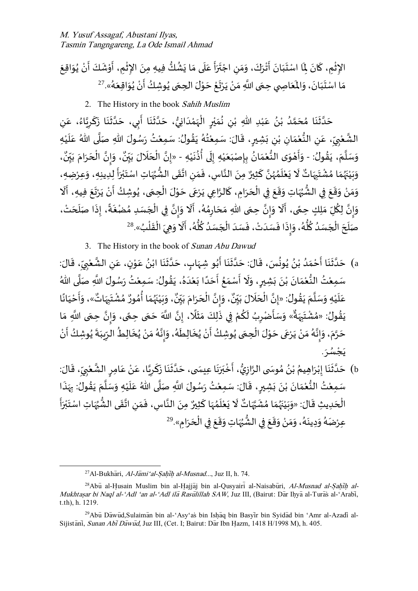$\ddot{\phantom{0}}$ الإِثْمِ، كَانَ لِمَا اسْتَبَانَ أَتْرَكَ، وَمَنِ اجْتَرَأَ عَلَى مَا يَشُكُّ فِيهِ مِنَ الإِثْمِ، أَوْشَكَ أَنْ يُوَاقِعَ  $\ddot{\phantom{0}}$ ُ ់<br>•  $\ddot{\phantom{0}}$  $\ddot{\cdot}$ ْ  $\ddot{\cdot}$ ֦֧֦֧֦֧֦֧֦֧֦֧֦֧֦֧֦֧֦֧֦֧֦֧֧֦֧֧֦֧֜֜֓֜֓֜֜<br>֧֜֜֜**֦**  $\ddot{\cdot}$ ُمُّ  $\ddot{\cdot}$  $\ddot{\ }$  $\ddot{\phantom{0}}$  $\overline{\phantom{a}}$  $\ddot{\phantom{0}}$  $\ddot{\phantom{0}}$  $\ddot{\phantom{0}}$ ت ْ ِ  $\overline{\phantom{a}}$  $\ddot{\ }$  $\frac{1}{2}$  $\ddot{\cdot}$ ֦֧֦֧֦֧֦  $\ddot{\cdot}$  $\ddot{\cdot}$  $\ddot{\phantom{0}}$  $\ddot{\phantom{0}}$  $\overline{\phantom{a}}$  $\ddot{\phantom{0}}$  $\ddot{\cdot}$ ֦ ֦֧֦֧֦֧֦֧֦֧֦֧֦֧֦֧֦֧֦֧֦֧֦֧֦֧֧֦֧֧֦֧֧֦֜֜֓֜֜֓֓֜֜֜ رِ عَاصَرَ الْمَعَاصِي حِمَى اللَّهِ مَنْ يَرْتَعْ حَوْلَ الْحِمَى يُوشِكُ أَنْ يُوَاقِعَهُ».<sup>27</sup>  $\ddot{\phantom{0}}$  $\overline{\mathbf{1}}$  $\frac{1}{2}$  $\ddot{\cdot}$  $\ddot{\ }$  $\ddot{\phantom{0}}$  $\frac{1}{2}$ ٍ<br>مُ  $\ddot{\phantom{0}}$ ์<br>-<br>• ُ ْ י<br>י ُ  $\ddot{\phantom{0}}$ ْ  $\ddot{\phantom{0}}$ ់<br>**់**  $\ddot{\phantom{0}}$  $\ddot{\cdot}$ ំ<br>•  $\frac{1}{\sqrt{2}}$  $\ddot{\phantom{0}}$ َ.

2. The History in the book Sahih Muslim

ِ حَدَّثَنَا مُحَمَّدُ بْنُ عَبْدِ اللهِ بْنِ نُمَيْرٍ الْهَمْدَانِيُّ، حَدَّثَنَا أَبِي، حَدَّثَنَا زَكَرِيَّاءُ، عَنِ  $\overline{\phantom{a}}$ ُ ا ِ  $\overline{\phantom{a}}$  $\ddot{\phantom{0}}$  $\ddot{\cdot}$  $\ddot{\phantom{0}}$ ا  $\overline{\phantom{a}}$ ∣<br>∶ .<br>ئى  $\ddot{\cdot}$  $\ddot{\phantom{0}}$ اء  $\overline{\phantom{a}}$ ُّ  $\ddot{\phantom{0}}$ ់<br>៖  $\frac{1}{2}$ ْ ٍ ំ<br>រ ي  $\overline{\phantom{a}}$ ُ ِ ំ ۠<br>ؙ  $\overline{\phantom{a}}$ ٍ<br>• ំ ٍ<br>' بر  $\overline{\phantom{a}}$ ر<br>م  $\ddot{\cdot}$  $\ddot{\phantom{0}}$ اته  $\overline{\phantom{a}}$ الشَّعْبِيِّ، عَنِ النُّعْمَانِ بْنِ بَشِيرٍ، قَالَ: سَمِعْتُهُ يَقُولُ: سَمِعْتُ رَسُولَ اللهِ صَلَّى اللهُ عَلَيْهِ ំ<br>រ  $\ddot{\phantom{0}}$  $\ddot{\phantom{0}}$ ا  $\ddot{\cdot}$ ْ ُ  $\ddot{\cdot}$ ر<br>ر ُ ْ  $\frac{1}{2}$ ٍ  $\ddot{\cdot}$ ِ ់<br>•  $\tilde{a}$ ْ و<br>په ِ  $\overline{\phantom{a}}$ ِ ِّ **∕** ំ بة : وَسَلَّمَ، يَقُولُ: - وَأَهْوَى النُّعْمَانُ بِإِصْبَعَيْهِ إِلَى أُذُنَيْهِ - «إِنَّ الْحَلَالَ بَيِّنٌ، وَإِنَّ الْحَرَامَ بَيِّنٌ، ُ  $\ddot{\cdot}$  $\overline{\phantom{a}}$ ا<br>آ  $\overline{\phantom{a}}$ ۠<br>ؙ  $\ddot{\cdot}$ ِّ ٍ<br>من  $\ddot{\phantom{0}}$ ل !<br>∶ ֦֧֦֧<u>֦</u>  $\overline{\phantom{a}}$  $\ddot{\phantom{0}}$ <u>ږ</u> ፡<br>ጶ•  $\overline{\phantom{a}}$ ំ<br>រ ُّ  $\overline{\phantom{a}}$ ֦֧֦֦֧֝<u>֦</u> ֧֖֖֖֦֧֦֧֧֧֧֦֧֧֧֧֧֧֦֧֚֚֚֚֚֚֚֚֚֚֚֚֚֚֚֝֓֡֓֕֓֡֜֓֡֬֟֓֡֟֓֡֬֓֓֓֓֓֓֓֜֓֜  $\overline{\phantom{a}}$ ٍ<br>پ ، وَإِنَّ الْحَرَامَ بَيِّنٌ ِّ ي  $\ddot{\cdot}$  $\ddot{\ }$  $\ddot{\cdot}$  $\overline{\phantom{a}}$ ֦֧֦֧֦֧֝֝ اتة<br>•  $\frac{1}{2}$  $\ddot{\phantom{0}}$ ٌ «إِنَّ الْحَلَالَ بَيِّنٌ ِّ ي  $\ddot{\cdot}$  $\ddot{\phantom{0}}$  $\overline{\phantom{a}}$ ֦֧֦֧֦֧֦֧֦֧֧֦֧֧֦֧֝֜֜֓֟֓֓֜֜֓֜**֦** ا<br>په وَبَيْنَهُمَا مُشْتَبِهَاتٌ لَا يَعْلَمُهُنَّ كَثِيرٌ مِنَ النَّاسِ، فَمَنِ اتَّقَى الشُّهُهَاتِ اسْتَبْرَأَ لِلِّدِيهِ، وَعِرْضِهِ،  $\tilde{\cdot}$ ֝֝֝֝<br>֧֧֧֖֖֚֚֚֚֚֝֝֬֝֬֝֝֝  $\ddot{\phantom{0}}$ ْ ب  $\ddot{\phantom{0}}$  ُ ور<br>و  $\ddot{\cdot}$ ا<br>: ِ  $\frac{1}{2}$  $\ddot{\cdot}$ الأ  $\ddot{\cdot}$  $\overline{\phantom{a}}$ انة<br>• ر<br>ر ر<br>م ۔<br>آ ֦֧֦֦֦֝֝**֦**  $\ddot{\cdot}$ ۔<br>ا  $\overline{\phantom{a}}$ ِ  $\ddot{ }$ ۠**ٔ** ر<br>م  $\overline{\phantom{a}}$ ر<br>ر  $\ddot{\cdot}$ ۠<br>ؙ  $\ddot{\phantom{0}}$  $\overline{\phantom{a}}$ ֦֧֦֧֦֧֦֧֦֧֦֧֦֦֜֜֜֜֜֜֜ .<br>وَمَنْ وَقَعَ فِي الشُّبُهَاتِ وَقَعَ فِي الْحَرَامِ، كَالرَّاعِي يَرْعَى حَوْلَ الْحِمَى، يُوشِكُ أَنْ يَرْتَعَ فِيهِ، أَلَا  $\overline{\phantom{a}}$ ْ  $\frac{1}{2}$  $\overline{\phantom{a}}$ سە<br>قىق -<br>;  $\ddot{\phantom{0}}$ ֧֞֝<br>֧֪֧֝֝֝  $\ddot{\cdot}$ ់<br>• ֦֧֦֧֪֦֧֪֦֧֪֦֧֪֦֧֧֪֦֧֝֝֝֝֝֝֝֝֝֬֝<br>֧֧֧֧֖֧֚֚֚֚֚֝֠֝֝֝ ُ  $\ddot{\phantom{0}}$ ֦֧֦֧֦֧֦֧֦֧֦֧<u>֦</u> ֦֧֦֧֝<u>֦</u>  $\ddot{\phantom{0}}$  $\overline{\phantom{a}}$  $\ddot{\cdot}$ ֦ **ृ**  $\ddot{\cdot}$  $\overline{\phantom{a}}$ ْ  $\ddot{\phantom{0}}$ ֦֧֦֧֦֧֦֧֦֧֦֧֦֜֜֜֜֜֜֜֜  $\overline{\phantom{a}}$  $\ddot{\mathbf{z}}$ **ہ** و<br>پ<sup>و</sup>  $\ddot{\phantom{0}}$ َوَ<sub>إِنَّ</sub> لِكُلِّ مَلِكٍ حِمًى، أَلَا وَإِنَّ حِمَى اللهِ مَحَارِمُهُ، أَلَا وَإِنَّ فِي الْجَسَدِ مُضْغَةً، إِذَا صَلَحَتْ،  $\overline{\phantom{a}}$ .<br>í  $\vdots$ ֧֦֧֚֓֝<u>֚</u>  $\ddot{\cdot}$ ؚ<br>؞  $\overline{\phantom{a}}$ ֦֧֦֧֦֧֦֧֦֧֧֦֧֧֦֧֝֜֜֓֟֓֓֜֜֓֜**֦** ا<br>په  $\frac{1}{2}$  $\ddot{\phantom{0}}$ ۔<br>آ )<br>} ٍ<br>مُ ِّ پ ِ  $\overline{\phantom{a}}$  $\ddot{\ }$  $\ddot{\phantom{0}}$ ۔<br>پ  $\sum_{i=1}^{n}$ .<br>^ ֖֧֞ ֦֧֦֦֦֧֦֧֦֧֦֧֧֦֧֪֦֧֦֧֝֝֝֜֜֓֕֓֕֓֕֓֕֓֜֜<br>֧֧֝֝֬׆֧ ً  $\frac{1}{\lambda}$ ٔ بة  $\sum_{i=1}^{n}$  $\overline{\phantom{a}}$ و<br>ا صَّلَحَ الْجَسَدُ كُلُّهُ، وَإِذَا فَسَدَتْ، فَسَدَ الْجَسَدُ كُلُّهُ، أَلَا وَهِيَ الْقَلْبُ».<sup>28</sup>  $\overline{\phantom{a}}$ ֦֧֦֧֦֧֦֧֦֧֦֧֦֧֦֧֦֧֦֧֦֧֦֧֦֧֦֧֦֧֧֦֜֜֜֜֜֜֜֜  $\overline{\phantom{a}}$ -<br>1 م<br>بر ֦֧֦֦֦֦֦֦֦֝֝֝֟֟֟֟֟֓֟  $\ddot{\cdot}$ ْ  $\ddot{\phantom{0}}$  $\tilde{\cdot}$ ֧֦֧֦֧֝<br>֧֧֝֟֓֝֬֟֓֝֬֝֓֝֬֝֬֝֓֬֝֬֝֓֬֝֬֝֬֝֬֝֓  $\ddot{\cdot}$ و<br>ر ہ<br>آ ِّ ُ<br>وُ  $\overline{\phantom{a}}$ ֦֧֦֧֦֧֦֧֦֧֦֧֦֧֧֦֧֧֦֧֝֜֜֓֜֜֓<br>**֡**  $\overline{\phantom{a}}$ ۔<br>: ំ<br>•  $\overline{\phantom{a}}$  $\ddot{\cdot}$  $\ddot{\cdot}$ ِ  $\overline{\phantom{a}}$ ِّ ر<br>أو <u>و</u>

3. The History in the book of Sunan Abu Dawud

a) حَدَّثَنَا أَحْمَدُ بْنُ يُونُسَ، قَالَ: حَدَّثَنَا أَبُو شِهَابٍ، حَدَّثَنَا ابْنُ عَوْنٍ، عَنِ الشَّعْبِيِّ، قَالَ:  $\ddot{\mathbf{r}}$ ِ ِّ **∶** ؚ<br>ؙ ا<br>م ِ  $\overline{\phantom{a}}$ ֦֧֦֧֦֧֦֧֦֧֦֧֦֧֦֧֦֧֦֧֦֧֦֧֦֧֦֧<br>**֧**  $\overline{\phantom{a}}$ ُ ֦֧֦֧֦֧֦֧֦֧֦֧֦֧֦  $\ddot{\cdot}$  $\ddot{\cdot}$ اء  $\ddot{\phantom{0}}$  $\overline{\phantom{a}}$ ُ<br>وُ .<br>۽  $\ddot{\cdot}$  $\ddot{\cdot}$ اته  $\ddot{\phantom{0}}$  $\ddot{\phantom{0}}$ ُ ؚ<br>ۣ **ءِ** ់<br>៖ ٍ<br>ٌ  $\frac{1}{2}$ ْ  $\ddot{\cdot}$  $\ddot{\cdot}$  $\ddot{\cdot}$ اته  $\ddot{\phantom{0}}$ سَمِعْتُ النُّعْمَانَ بْنَ بَشِيرٍ، وَلَا أَسْمَعُ أَحَدًا بَعْدَهُ، يَقُولُ: سَمِعْتُ رَسُولَ اللَّهِ صَلَّى اللهُ ا<br>آ  $\ddot{\cdot}$ ْ ُ  $\ddot{\cdot}$ ؚ<br>ؙ ֧֚֞֝֝<br>֧֪֚֚֚֚֚֝֝֝֝֝֝֝ ំ<br>រ  $\ddot{\cdot}$ ا<br>ا  $\ddot{\phantom{0}}$ ֧֧֧֧֧֚֝֬֟֝֬֟֓֕֓֝֬֝֬֝֓֕֓֝֬֝֬֝֬֝֬֝֬֝֬֝֬֝֬֝֬֝֬֟֬֟<br>֧֪֧֧֧֪֧֧֝֬֝֬֝֬֝֬֬ ُ  $\frac{1}{2}$ ֺ֖֖֖֖֖֖֧֧֧֧֧֦֧֚֚֚֚֚֚֚֚֚֚֚֚֚֚֚֞֝֓֞֝֬֝֓֞֝֬֝֓֕֓֞֟֓֡֟֓֟֓֡֟֓֟֓֝֬֜֓֝֬֜֓֝֬  $\tilde{\mathbf{r}}$  $\ddot{\ }$ ٍ  $\ddot{\cdot}$  $\ddot{\cdot}$ ំ -<br>-<br>•  $\frac{1}{\alpha}$ ֦֧֦֧֦ ُّ ំ<br>រ ֧֪֪֧֦֧֦֧֦֧֧֛֛֛֛֝֝֝֝֟֜֝֟֓֝֬֝֓֕֓֕֝֓֕֓֝֬֝֓֕֝֬֟֓֝֬֜֜֜ ، وَبَيْنَهُمَا أُمُورٌ مُشْتَبِهَاتٌ»، وَأَ  $\ddot{\phantom{0}}$  $\ddot{\phantom{0}}$ ِ  $\ddot{\ }$ ْ ؚ<br>؞ ؚ<br>؞ ۔<br>پنج  $\frac{1}{1}$ ر<br>ر  $\ddot{\phantom{0}}$ ំ  $\ddot{\phantom{0}}$  $\ddot{\ }$ ٌ ، وَإِنَّ الْحَرَامَ بَيِّنٌ ِّ ي  $\ddot{\phantom{0}}$  $\overline{1}$  $\ddot{\cdot}$  $\overline{\phantom{a}}$ ֦֧֦֧֦֧֦֧֦֧֦֧֦֧֦֧֦֧֦֧֦֧֦֧֦֧֜֜֓֓֜֜֓֟ ة<br>•  $\sum_{i=1}^{n}$ -<br>^ و<br>. عَلَيْهِ وَسَلَّمَ يَقُولُ: «إِنَّ الْحَلَالَ بَيِّنٌ، وَإِنَّ الْحَرَامَ بَيِّنٌ، وَبَيْنَهُمَا أُمُورٌ مُشْتَبِهَاتٌ»، وَأَحْيَانًا ِّ ي  $\ddot{\phantom{0}}$  $\tilde{1}$  $\frac{1}{2}$ ֦֧֦֦֦֖֪֖֪֦֖֚֚֝֝֝֟֓֟֓֟֓֟֓֟֓֟֓֟֓֟֓֟֓֟֓֟֓֟֓֟֓֟֓֟֓֟֓֟֓֟֓֕֓֝֬֝֓֝ ا<br>په ٍ<br>په  $\ddot{\cdot}$  $\overline{\phantom{a}}$ ا  $\overline{\phantom{a}}$ ؗ<br>۠  $\overline{\phantom{a}}$  $\overline{\phantom{a}}$ ً  $\ddot{\phantom{0}}$ ֦֧<u>֝</u> رَّ حَسَّرَ حَسَّلاً مِنْ الْجَمْعِينَ وَ مَا اللَّهَ حَمَى حِمَّى، وَإِنَّ حِمَى اللَّهِ مَا مَا مَ<br>يَقُولُ: «مُشْتَبِهَةٌ» وَسَأَضْرِبُ لَكُمْ فِي ذَلِكَ مَثَلًا، إِنَّ اللَّهَ حَمَى حِمًى، وَإِنَّ حِمَى اللَّهِ مَا <u>بر</u>  $\ddot{\ }$  $\ddot{\ }$  $\ddot{\ }$ .<br>په  $\frac{1}{2}$  $\ddot{\ }$ ً  $\ddot{\phantom{0}}$  $\overline{\phantom{a}}$ ة<br>• ً<br>أ  $\ddot{\cdot}$  $\ddot{\ }$ ミー・ ْ ِّ  $\frac{1}{\epsilon}$ ֖֞֜  $\overline{\phantom{a}}$ **ٌ**<br>مُ ة ه ب ت ش : »م  $\ddot{\phantom{0}}$ ِ  $\ddot{\ }$ ّْ ؚ<br>؞ ់<br>• حَرَّمَ، وَإِنَّهُ مَنْ يَرْعَى حَوْلَ الْحِعَى يُوشِكُ أَنْ يُخَالِطَّهُ، وَإِنَّهُ مَنْ يُخَالِطُ الرِّيبَةَ يُوشِكُ أَنْ  $\ddot{\cdot}$ ُ ĺ  $\ddot{\phantom{0}}$ ِ ر<br>1  $\ddot{\cdot}$ ُ ْ  $\ddot{\ }$ ٍ<br>مُ بة  $\sum_{i=1}^{n}$  $\ddot{\phantom{0}}$ ٍ<br>مُ ۶<br>F  $\ddot{\cdot}$ ُ ំ<br>•  $\overline{\phantom{a}}$ ُ  $\ddot{\phantom{0}}$ ֦֧֦֦֦֚֝֝֝ ់<br>្  $\ddot{\phantom{0}}$  $\overline{\phantom{a}}$  $\ddot{\phantom{0}}$ ٝ<br>ؙ  $\frac{1}{2}$ ر بة  $\sum_{i=1}^{n}$  $\tilde{ }$  $\frac{1}{2}$  $\ddot{\phantom{0}}$  $\ddot{\cdot}$ ِ<br>يَجْسُرَ. ْ  $\ddot{\ }$ 

b) حَدَّثَنَا إِبْرَاهِيمُ بْنُ مُوسَى الرَّازِيُّ، أَخْبَرَنَا عِيسَى، حَدَّثَنَا زَكَرِيَّا، عَنْ عَامِرٍ الشَّعْبِيِّ، قَالَ:  $\ddot{\cdot}$  $\ddot{\cdot}$ اند<br>ا  $\overline{\phantom{a}}$  $\frac{1}{2}$ ِ ِّ **∶** ٝ<br>ؙ الأ <u>رِ</u>  $\overline{\phantom{a}}$ ْ  $\overline{\phantom{a}}$ ا ِ ֦  $\ddot{\phantom{0}}$  $\ddot{\cdot}$  $\ddot{\phantom{0}}$ ا  $\overline{\phantom{a}}$  $\overline{\phantom{a}}$  $\ddot{\cdot}$  $\ddot{\phantom{0}}$  $\ddot{\phantom{0}}$ ب ֦֧֦֧<u>֦</u>  $\epsilon$  $\ddot{\phantom{0}}$ ؚ<br>؞ **،** ំ ٍ<br>پر  $\ddot{\cdot}$ ំ سَمِعْتُ النُّعْمَانَ بْنَ بَشِيرٍ، قَالَ: سَمِعْتُ رَسُولَ اللَّهِ صَلَّى اللّهُ عَلَيْهِ وَسَلَّمَ يَقُولُ: بِهَذَا  $\ddot{\cdot}$  $\cdot$ **∶** ُ  $\ddot{\cdot}$  $\overline{\phantom{a}}$ ا  $\ddot{\ }$ ំ ۔<br>آ  $\overline{\phantom{a}}$ ا  $\ddot{\cdot}$ ំ<br>រ ֧֦֦֦֦֦֪֪֪֦֝֝֝֝֝֝֝֝֝֝֝֝֝<br>֧֚֚֚֚֚֚֚֚֝֝֝֝֝֝֝ ٍ  $\ddot{\cdot}$  $\ddot{\cdot}$ ំ<br>•  $\ddot{\cdot}$  $\overline{\phantom{a}}$ ំ<br>រ و<br>پو ំ<br>រ ۠<br>ؙ الْحَدِيثِ قَالَ: «وَبَيْنَهُمَا مُشَبَّهَاتٌ لَا يَعْلَمُهَا كَثِيرٌ مِنَ النَّاسِ، فَمَنِ اتَّقَى الشُّبُهَاتِ اسْتَبْرَأَ  $\ddot{\phantom{0}}$  $\overline{\phantom{a}}$  $\ddot{\phantom{0}}$  $\overline{\phantom{a}}$ ْ ֪֧֧֧֧֧֧֧֧֧֦֧֧֧֧֛֝֝֝֝֝֝֝֝֝֝֟֟֟֓֝֬֝֓֕֝֓֕֝֬֝֓֟֓֟֓֟֓֟֓֟֓֟֓֝֬֝֓֝֬֝֓֝֓֝֬֝֓֝֬֝֓֝<br>֧֧֧֧֧֧֧֧֪֧֪֧֧֪֧֧֚֚֝֝֝֝֟֟֝֟֝֟֝֟֝֟֝֟֝֬  $\ddot{\cdot}$ ់<br>**់** ب  $\ddot{\ }$  ُ ُّ -<br>: ة<br>" ِ  $\frac{1}{2}$  $\ddot{\cdot}$ الة  $\ddot{\cdot}$ .<br>- $\overline{\phantom{a}}$ ؚ<br>؞  $\ddot{\phantom{0}}$ ំ<br>រ  $\ddot{\cdot}$  $\tilde{\cdot}$  $\tilde{\mathbf{r}}$ انہ ∶'<br>∶ ؚ<br>؞  $\overline{\phantom{a}}$ و<br>ر  $\ddot{\cdot}$ عِرْضَهُ وَدِينَهُ، وَمَنْ وَقَعَ فِي الشُّهُاتِ وَقَعَ فِي الْحَرَامِ»  $\ddot{\cdot}$  $\overline{\phantom{a}}$ ْ  $\ddot{\phantom{0}}$  $\ddot{\phantom{0}}$  $\overline{\phantom{a}}$  ٍ<br>• ُّ  $\ddot{\phantom{0}}$ ֦֧֦֧֦֧֦֧֦֧֦֧֦֜֜֜֜֜֜֜֜  $\overline{\phantom{a}}$ ំ  $\frac{1}{2}$  $\tilde{\cdot}$ ر<br>ر  $\ddot{\cdot}$  $\tilde{ }$ و<br>ر . 29

 $^{27}$ Al-Bukhāri, Al-Jāmi'al-Sahīh al-Musnad..., Juz II, h. 74.

 $^{28}$ Abu al-Husain Muslim bin al-Hajjaj bin al-Qusyairi al-Naisaburi, Al-Musnad al-Sahih al-Mukhtasar bi Naql al-'Adl 'an al-'Adl ila Rasulillah SAW, Juz III, (Bairut: Dar Ihya al-Turas al-'Arabi, t.th), h. 1219.

<sup>&</sup>lt;sup>29</sup>Abū Dāwūd,Sulaimān bin al-'Asy'as bin Ishāq bin Basyir bin Syidad bin 'Amr al-Azadi al-Sijistani, Sunan Abi Dawūd, Juz III, (Cet. I; Bairut: Dar Ibn Hazm, 1418 H/1998 M), h. 405.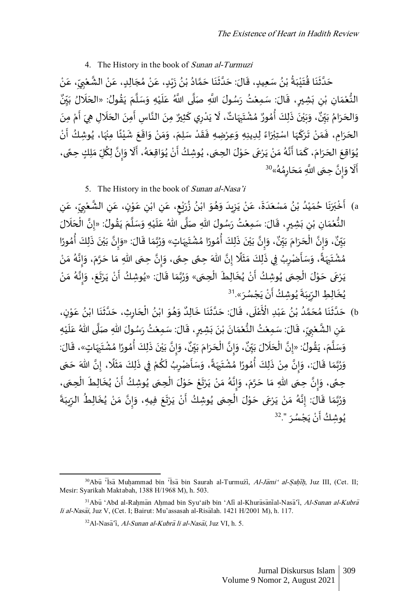# 4. The History in the book of Sunan al-Turmuzi

**ءِ** حَدَّثَنَا قُتَيْبَةُ بْنُ سَعِيدٍ، قَالَ: حَدَّثَنَا حَمَّادُ بْنُ زَيْدٍ، عَنْ مُجَالِدٍ، عَنْ الشَّعْبِيِّ، عَنْ ۫<br>ؙ ُ  $\ddot{\phantom{0}}$ ់<br>រ  $\ddot{\phantom{0}}$ ُ  $\ddot{\cdot}$  $\ddot{\cdot}$ اته  $\overline{\phantom{a}}$ ់<br>•  $\frac{1}{2}$ ِ ِّ **∶** ٝ<br>ؙ ان<br>ما ់<br>:  $\overline{\phantom{a}}$  $\overline{\phantom{a}}$ ؚ<br>ڎ ំ  $\frac{1}{2}$ ់<br>•  $\ddot{\phantom{0}}$ ٍّ ់<br>• ٛ ة<br>م  $\ddot{\phantom{0}}$  $\ddot{\cdot}$  $\ddot{\cdot}$ اته  $\ddot{\phantom{0}}$  $\ddot{\mathbf{r}}$ و<br>. النُّعْمَانِ بْنِ بَشِيرٍ، قَالَ: سَمِعْتُ رَسُولَ اللَّهِ صَلَّى اللَّهُ عَلَيْهِ وَسَلَّمَ يَقُولُ: «الحَلَالُ بَيِّنٌ ِّ ي  $\ddot{\cdot}$  $\mathbf{r}$  $\overline{\phantom{a}}$ ُ  $\ddot{\cdot}$  $\ddot{\phantom{0}}$ .<br>ا  $\tilde{\cdot}$ ំ  $\mathbf{r}$ .<br>م ا<br>آ  $\ddot{\cdot}$ ំ<br>រ .<br>: ر<br>:  $\ddot{\cdot}$ ِ ْ  $\frac{1}{\alpha}$ ំ ُّ ر<br>م ، وَبَيْنَ ذَلِكَ أُمُورٌ مُ ٍ<br>؞ ِ<br>م  $\ddot{\cdot}$ :<br>: ់<br>៖ ي  $\ddot{\phantom{0}}$  $\overline{\phantom{a}}$ ِ ۔ وَالحَرَامُ بَبِّنَّ، وَبَيْنَ ذَلِكَ أُمُورٌ مُشْتَبِهَاتٌ، لَا يَدْرِي كَثِيرٌ مِنَ النَّاسِ أَمِنَ الحَلَالِ هِيَ أَمْ مِنَ ِّ ي  $\ddot{\ }$ و<br>م  $\ddot{\cdot}$  $\overline{\phantom{a}}$  $\overline{\phantom{a}}$  $\ddot{\cdot}$ ؚ<br>ۣ ֝֝֝֝֝֝֝֝֝֝֝֝֝֝֝֝֝֝֝֝֝֝֝֝֝֝֝֝֝֝<br>֧֪֖֖֖֝֝֝֝֝֝֝  $\ddot{\phantom{0}}$  $\ddot{\cdot}$  $\overline{\phantom{a}}$  $\ddot{\cdot}$ -<br>F الم  $\ddot{\cdot}$ .<br>-ْ  $\ddot{\phantom{0}}$  $\tilde{\mathbf{r}}$  $\overline{\phantom{a}}$ ِ  $\ddot{\phantom{0}}$ ؚ<br>ۣ ້. الحَرَامِ، فَمَنْ تَرَكَهَا اسْتِبْرَاءً لِدِينِهِ وَعِرْضِهِ فَقَدْ سَلِمَ، وَمَنْ وَاقَعَ شَيْئًا مِنْهَا، يُوشِكُ أَنْ こう ُ .<br>زړ ់<br>**:** ً ់<br>រ  $\frac{1}{2}$  $\ddot{\phantom{0}}$ :<br>:  $\tilde{\cdot}$ ំ  $\frac{1}{2}$  $\tilde{\cdot}$  $\ddot{\phantom{0}}$ .<br>.  $\frac{1}{2}$  $\ddot{\cdot}$  $\tilde{\cdot}$ ٍ<br>ءُ  $\ddot{\phantom{0}}$ ់<br>**់**  $\overline{\phantom{a}}$ ֖֚֞  $\ddot{\cdot}$  $\overline{\phantom{a}}$ ْ  $\frac{1}{2}$ ֦֧֦֦֦֦֦֦֦֦֦֦֦֧֦֦֦֦֦֪֦֪֦֪֦֪֦֪֦֝֟֘֝֟֝֟֟֟֟֟֟֟֟֟֟֟֟֟֟֟֟֟֟֓֟֓֟֓֟֝֟֓֟֟֟֟֟֟֟֟֟֟֟֟֟֟֟֟֝֟֝֟֝֟֝֟֝ **→**  $\ddot{\phantom{0}}$  $\overline{\phantom{a}}$ يُوَاقِعَ الحَرَامَ، كَمَا أَنَّهُ مَنْ يَرْعَى حَوْلَ الحِمَى، يُوشِكُ أَنْ يُوَاقِعَهُ، أَلَا وَإِنَّ لِكُلِّ مَلِكٍ حِمًى، ់<br>្  $\ddot{\phantom{0}}$  $\frac{1}{2}$  $\ddot{\cdot}$ ំ  $\frac{1}{2}$ ٍ<br>مُ ابة ֧֪֪֪֖֧֧֧֧֧֧֧֧֚֞֝֝֝֝֝֝֝֬֝֓֕֓֝֬֜֝֬֜֝֬֝֓֝֬֝֓֝<br>֧֧֧֧֧֧֧֧֧֧֚֝֝֬֝֬֝֬֝֬֝֬֝֬  $\overline{\phantom{a}}$  $\overline{\phantom{a}}$  $\overline{1}$  $\ddot{\cdot}$  $\overline{\phantom{a}}$  $\ddot{\phantom{0}}$  $\overline{\phantom{a}}$ ُ ้<br>ถ  $\ddot{\cdot}$ ِّ ا  $\sum_{i=1}^{n}$  $\ddot{\phantom{0}}$ ֧֦֧֦֧<br>֧ ֧֞׆<br>׆ ِ<br>رُ  $\ddot{\phantom{0}}$  $\ddot{\phantom{0}}$ ُ ់<br>• ֚֬֝֝׀<br>׆֧ ُ  $\ddot{\phantom{0}}$ س ع<br>أَلَا وَإِنَّ حِعَى اللَّهِ مَحَارِمُهُ»<sup>30</sup> ر<br>ر ؚ<br>؞ ِ  $\overline{\phantom{a}}$  $\ddot{\ }$  $\ddot{\phantom{0}}$ الأ  $\frac{1}{2}$  $\overline{\phantom{a}}$ ֝֝֝֝֝֝֝֝֝֝֝֝֝֝֝֝֝֝֝<br>֧֪֝֝֝֝֝֝֟֬֝֟֝֬֝֟ 

5. The History in the book of Sunan al-Nasa'i

a) أَخْبَرَنَا حُمَيْدُ بْنُ مَسْعَدَةَ، عَنْ يَزِيدَ وَهُوَ ابْنُ زُرَيْعٍ، عَنِ ابْنِ عَوْنٍ، عَنِ الشَّعْبِيِّ، عَنِ ِ  $\overline{\phantom{a}}$ ِ ِّ **ِ** ْ اءِ<br>م ِ  $\overline{\phantom{a}}$ ֦֧֦֧֦֧<u>֦</u>  $\overline{\phantom{a}}$ ْ ِ  $\overline{\phantom{a}}$ ا<br>پر ់<br>**់**  $\ddot{\cdot}$ ُ ُ ំ<br>•  $\ddot{\phantom{0}}$ ٍ<br>ُ  $\ddot{\ }$  $\overline{\phantom{a}}$ ِ  $\ddot{\phantom{0}}$ ំ  $\overline{\phantom{a}}$  $\ddot{\phantom{0}}$  $\overline{\phantom{a}}$  $\overline{\phantom{a}}$  $\overline{\phantom{a}}$ ٍّ ំ و<br>ا ۠۠  $\frac{1}{2}$ ُ  $\ddot{\cdot}$  $\ddot{\phantom{0}}$  $\tilde{1}$ ب **ٔ**  $\epsilon$ النُّعْمَانِ بْنِ بَشِيرٍ، قَالَ: سَمِعْتُ رَسُولَ اللهِ صَلَّى اللهُ عَلَيْهِ وَسَلَّمَ يَقُولُ: «إِنَّ الْحَلَالَ  $\mathbf{r}$  $\overline{\phantom{a}}$ ֧֧֧֧֧֧֦֧֦֧֝֟֓֝֟֓֓֝֟֓֟֓֓֝֓֝֓֟֓<br>֧֖֧֝֩֩֩֩֩֩֩֩֟ ا<br>په ُ  $\ddot{\cdot}$  $\overline{\phantom{a}}$ المحمد  $\ddot{\phantom{0}}$ ំ<br>រ  $\mathbf{r}$ .<br>م ے<br>آ  $\ddot{\cdot}$ ំ<br>រ  $\ddot{\phantom{0}}$ ر<br>:  $\ddot{\cdot}$ ِ ំ  $\frac{1}{\alpha}$ ំ ُّ  $\ddot{\cdot}$ ، وَإِنَّ الْحَرَا  $\overline{\phantom{a}}$ ْ انة<br>•  $\frac{1}{2}$  $\tilde{ }$ و<br>ٍ• بَبِّنٌ، وَإِنَّ الْحَرَامَ بَبِّنٌ، وَإِنَّ بَيْنَ ذَلِكَ أُمُورًا مُشْتَبِهَاتٍ» وَرُبَّمَا قَالَ: «وَإِنَّ بَيْنَ ذَلِكَ أُمُورًا ِّ ا<br>د  $\ddot{\cdot}$ ِ<br>•<br>• ؚ<br>؞ े<br>हैं: ا<br>:  $\ddot{\cdot}$ ់<br>**់** ي  $\ddot{\cdot}$ ا  $\frac{1}{2}$  $\ddot{\ }$ .<br>..  $\frac{1}{2}$ ا ر<br>د  $\ddot{\phantom{0}}$  $\overline{\phantom{a}}$ ِ  $\ddot{\phantom{0}}$ ؚ<br>; ؚ<br>؞ ا<br>أ ؚ<br>؞ र<br>१  $\ddot{\cdot}$  $\ddot{\cdot}$ ْ ي  $\ddot{\cdot}$ انة<br>•  $\frac{1}{2}$  $\ddot{\ }$ و<br>ٍ• امَ بَيِّنٌ ِّ ي .<br>-<br>•  $\overline{a}$ ់<br>• مُشْتَبِهَةً، وَسَأَصْرِبُ فِي ذَلِكَ مَثَلًا إِنَّ اللهَ حِجًى حِجًى، وَإِنَّ حِجَى اللهِ مَا حَرَّمَ، وَإِنَّهُ مَنْ  $\frac{1}{2}$ ِ<br>مُ الأ  $\frac{1}{2}$  $\tilde{\cdot}$  $\ddot{\phantom{0}}$  $\ddot{\phantom{0}}$ ۔<br>م  $\frac{1}{2}$ .<br>په  $\frac{1}{2}$  $\tilde{\cdot}$ <u>์</u><br>ถ ً ا<br>ا .<br>آ  $\frac{1}{2}$  $\frac{1}{\sqrt{2}}$  $\frac{1}{2}$ Į  $\frac{1}{\sqrt{2}}$ ِ<br>په<br>س  $\overline{\phantom{a}}$ ِ  $\ddot{\phantom{0}}$ ْ ر<br>م يَرْعَى حَوْلَ الْحِمَى يُوشِكُ أَنْ يُخَالِطَ الْحِمَى» وَرُبَّمَا قَالَ: «يُوشِكُ أَنْ يَرْتَعَ، وَإِنَّهُ مَنْ **ءِ**  $\ddot{\phantom{0}}$ ֦֧֦֧֦֧֦֧֦֧֦֧֦֧֦֧֦֧֦֧֦֧֦֧֦֧֦֧֦֧֧֦֜֜֜֜֜֜֜֜ ់<br>្  $\ddot{\phantom{0}}$  $\overline{\phantom{a}}$  $\ddot{\cdot}$ ់<br>•  $\frac{1}{2}$ ِ<br>مُ ا<br>تار  $\frac{1}{2}$  $\tilde{\cdot}$  $\ddot{\phantom{0}}$ .<br>-<br>- $\ddot{\cdot}$ ْ  $\ddot{\phantom{0}}$ ُ  $\ddot{\phantom{0}}$  $\frac{1}{2}$ اند<br>ا ؚ<br>ؙ  $\tilde{\cdot}$  $\ddot{\phantom{0}}$ ֦֧֦֧֦֧֦֧֦֧֦֧֦֧֧֦֧֧֦֧֝֜֜֓֜֜֓<br>**֡**  $\overline{\mathbf{1}}$  $\ddot{\cdot}$ ُ ْ ļ يُخَالِطِ الرِّيِبَةَ يُوشِكُ أَنْ يَجْسُرَ».<sup>31</sup>  $\ddot{\cdot}$ ֦֧<u>֝</u>  $\ddot{\ }$ ំ<br>• ֪֪֪֞֝֝֝֝֝֝֝֝֝<br>֧֛֪֪֝֝֬֝֝֟֝֬֝֬֝֝ ُ  $\ddot{\phantom{0}}$  $\ddot{\phantom{0}}$ ِ  $\ddot{\cdot}$ ُ

b) حَدَّثَنَا مُحَمَّدُ بْنُ عَبْدِ الْأَعْلَى، قَالَ: حَدَّثَنَا خَالِدٌ وَهُوَ ابْنُ الْحَارِثِ، حَدَّثَنَا ابْنُ عَوْنٍ، ֦֧֦֧֦  $\frac{1}{2}$ ُ ់<br>•  $\ddot{\cdot}$  $\ddot{\phantom{0}}$ اء  $\ddot{\phantom{0}}$ ِ  $\overline{\phantom{a}}$ ֦֧֦֧֦֧<u>֦</u> ُ ់<br>•  $\ddot{\ }$ ٍ<br>ُ  $\tilde{\cdot}$ و<br>ا ِ<br>نُعْلَى، قَالَ: حَدَّثَنَا خَالِدٌ  $\ddot{\cdot}$  $\ddot{\cdot}$  $\ddot{\cdot}$ ان<br>ا  $\overline{\phantom{a}}$  .<br>í ់<br>្ :<br>دُ؟ حَدَّثَنَا مُحَمَّدُ بْنُ عَبْدِ الْأَ ؙ۠۠۠۠۠۠۠۠۠۠۠۠۠۠  $\overline{\phantom{a}}$ ٍّ ់<br>• و<br>ا ا<br>آم  $\overline{\phantom{a}}$ ٍ<br>؞  $\ddot{\cdot}$  $\tilde{\cdot}$ اته  $\ddot{\phantom{0}}$  $\overline{\phantom{a}}$ عَنِ الشَّعْبِيِّ، قَالَ: سَمِعْتُ النُّعْمَانَ بْنَ بَشِيرٍ، قَالَ: سَمِعْتُ رَسُولَ اللهِ صَلَّى اللهُ عَلَيْهِ ំ ۔<br>آ  $\overline{\phantom{a}}$ ا<br>آ  $\ddot{\cdot}$ ٝ<br>ؙ  $\ddot{\phantom{0}}$ <u>ر</u>  $\ddot{\cdot}$  $\ddot{\phantom{0}}$ ំ  $\ddot{\cdot}$  $\overline{\phantom{a}}$ ់<br>រ ُّ ْ ֦֦֦֦֦֦֦ׅ֝֝֝֝֝֝֝֜֜֜֜֜֜֜֜֝֜<del>֓</del> ِ ِّ **∕** ំ<br>រ الأ ِ ، وَإِنَّ بَيْنَ ذَلِكَ أُمُورًا مُشْتَبِهَاتٍ»، قَا  $\frac{1}{2}$  $\ddot{\phantom{0}}$ ِ  $\ddot{\phantom{0}}$ ؚ<br>ۣ ؚ<br>؞ ِ<br>پ ؚ<br>؞ ।<br>है  $\ddot{\cdot}$  $\ddot{\cdot}$ ់<br>**់** ي  $\ddot{\phantom{0}}$ ا<br>په  $\frac{1}{2}$  $\ddot{\ }$ و<br>ٍ• ، وَإِنَّ الْحَرَامَ بَيِّنٌ ِّ ي -<br>-<br>.  $\ddot{\ }$  $\ddot{\cdot}$  $\overline{\phantom{a}}$ ْ بة  $\frac{1}{2}$  $\ddot{\ }$ و<br>ٍ• وَسَلَّمَ، يَقُولُ: «إِنَّ الْحَلَالَ بَيِّنٌ، وَإِنَّ الْحَرَامَ بَيِّنٌ، وَإِنَّ بَيْنَ ذَلِكَ أُمُورًا مُشْتَبِهَاتٍ»، قَالَ: ِّ ي  $\ddot{\ }$ .<br>آ  $\overline{\phantom{a}}$ ֦֧֦֧֦֧֦֧֦֧֦֧֦֧֧֦֧֦֧֦֧֦֧֜֜֓֟֓<br>**֡** انة<br>• ُ  $\ddot{\phantom{0}}$  $\overline{\phantom{a}}$ ا<br>آ  $\overline{\phantom{a}}$ وَرُبَّمَا قَالَ:، وَإِنَّ مِنْ ذَلِكَ أُمُورًا مُشْتَبِهَةً، وَسَأَضْرِبُ لَكُمْ فِي ذَلِكَ مَثَلًا، إِنَّ اللهَ حَمَى  $\frac{1}{2}$  $\overline{\phantom{a}}$ انه ٍ<br>ٌ  $\overline{\phantom{a}}$  $\ddot{\phantom{0}}$  $\ddot{\phantom{0}}$ اتة<br>• ֧<u>֓</u>  $\ddot{\cdot}$  $\ddot{\ }$  $\ddot{\cdot}$ ْ .<br>ء ์<br>ิ ֞  $\tilde{\cdot}$ ً.<br>;  $\overline{\phantom{a}}$ ِ  $\ddot{\ }$ ؚ<br>۠ ፡<br>^ ً<br>-<br>• .<br>م :<br>مر  $\ddot{\cdot}$ ْ .<br>په  $\frac{1}{2}$  $\tilde{ }$ .<br>حِمَّى، وَإِنَّ حِمَّى اللهِ مَا حَرَّمَ، وَإِنَّهُ مَنْ يَرْتَعْ حَوْلَ الْحِمَى يُوشِكُ أَنْ يُخَالِطَ الْحِمَى،  $\ddot{\phantom{0}}$ ֦֧֦֧֦֧<u>֦</u>  $\overline{\mathbf{r}}$  $\ddot{\cdot}$ ُ ំ<br>• ֧֧֧֧֧֧ׅ֧֦֧֧ׅ֧֦֧֦֧֚֬֝֜֕֓֕֓֕֓֕֓֝֬֜֜֜֜֓֜֜֓<br>֧֧֧֧֧֧֧֧֧֧֧֜֜֜֜֜֜ .<br>م  $\ddot{\phantom{0}}$ ֦֧֦֧֦֧֦֧֦֧֦֧<u>֦</u> ֦֧֦֧֦֧<u>֦</u>  $\ddot{\phantom{0}}$ ْ  $\ddot{\phantom{0}}$  $\ddot{\cdot}$ ْ  $\ddot{\ }$ ٍ<br>مُ ا<br>په  $\sum_{i=1}^{n}$  $\overline{\phantom{a}}$  $\ddot{\ }$  $\overline{\phantom{a}}$  $\overline{\phantom{a}}$ ์<br>-<br>ค انة<br>• اِ  $\tilde{\cdot}$ ้<br>ถ  $\overline{\phantom{a}}$ وَرُبَّمَا قَالَ: إِنَّهُ مَنْ يَرْعَى حَوْلَ الْحِمَى يُوشِكُ أَنْ يَرْتَعَ فِيهِ، وَإِنَّ مَنْ يُخَالِطُ الرِّيبَةَ  $\ddot{\phantom{0}}$ ំ<br>•  $\frac{1}{2}$ ٍ<br>مُ ا<br>په !<br>∶ ֦֧֦֦֦֧֦֦֦֧֦֝֝֝֝֜֜֜֜֜֜  $\overline{\phantom{a}}$ انه **ءِ**  $\overline{\phantom{a}}$  $\ddot{\cdot}$  $\ddot{\phantom{0}}$ ِ ِّ  $\ddot{\cdot}$ ُ ់<br>:  $\ddot{\ }$ اتا<br>•  $\sum_{i=1}^{n}$  $\ddot{\phantom{0}}$  $\ddot{\phantom{0}}$ ׇ֦֧֦֦֧֡֝֝֝֜֜֜֜  $\ddot{\phantom{0}}$ ٚ<br>ؙ ֧֖֖֖֧֧֧֧ׅ֧֧ׅ֧ׅ֧֧֪֚֞֝֬֟֓֟֓֓֟֓֓֡֟֓֟֓֡֟֓֟֓֡֟֓֟֓֡֟֓֟֓֡֟֓֓֝֬֜֓֜֝֬֓֓֜֓֓֬֜֓֜֓֓֝֬֝֓֝֬֝֬ ُ  $\ddot{\phantom{0}}$ ֦֧֦֧֦֧֦֧֦֧֦֧֦֧֧֦֧֦֧֦֧֦֧֜֜֓֟֓<br>**֡** ֚֝֝֝֝֝֝֝֝<mark>֦</mark>  $\overline{\phantom{a}}$ .<br>يُوشِكُُ أَنْ يَجْسُرَ ".<sup>32</sup>  $\ddot{\cdot}$ ؙ<br>ٔ  $\ddot{\cdot}$ ْ ļ **ءِ** 

 $30$ Abu<sup>T</sup>Isa Muhammad bin 'Isa bin Saurah al-Turmuzi, Al-Jami' al-Sahīh, Juz III, (Cet. II; Mesir: Syarikah Maktabah, 1388 H/1968 M), h. 503.

<sup>31</sup> Abu 'Abd al-Rahman Ahmad bin Syu'aib bin 'Ali al-Khurasanial-Nasa'i, Al-Sunan al-Kubra li al-Nasāi, Juz V, (Cet. I; Bairut: Mu'assasah al-Risālah. 1421 H/2001 M), h. 117.

 $32$ Al-Nasa<sup>7</sup>i, *Al-Sunan al-Kubra li al-Nasai*, Juz VI, h. 5.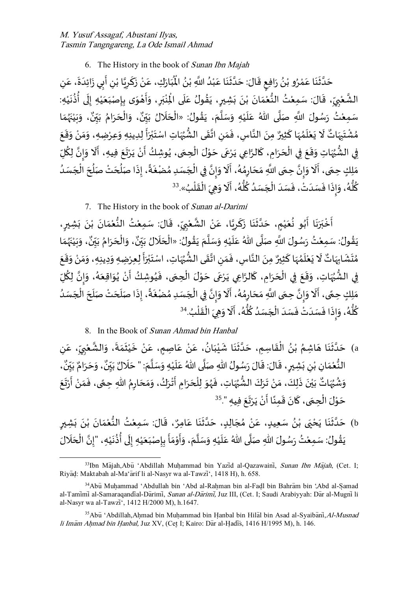6. The History in the book of Sunan Ibn Majah

ំ ن ِك، ع ار ب  $\frac{1}{2}$  $\ddot{\cdot}$  $\frac{1}{2}$ ُ<br>پُ حَدَّثَنَا عَمْرُو بْنُ رَافِعٍ قَالَ: حَدَّثَنَا عَبْدُ اللَّهِ بْنُ الْمُبَارَكِ، عَنْ زَكَرِيَّا بْنِ أَبِي زَائِدَةَ، عَنِ ٍّ ំ<br>• ٍ<br>ُ ֦֧֦֧֦֧<u>֦</u>  $\overline{\phantom{a}}$  $\ddot{\cdot}$  $\ddot{\mathbf{r}}$ اء  $\ddot{\phantom{0}}$  $\ddot{\mathbf{r}}$ ٍ<br>پ  $\ddot{\cdot}$ ٍّ ំ<br>• ْ  $\overline{\phantom{a}}$  $\ddot{\cdot}$  $\ddot{\cdot}$ اته  $\ddot{\phantom{0}}$  $\ddot{\phantom{0}}$  $\ddot{\cdot}$  $\overline{\phantom{a}}$  $\ddot{\cdot}$ ا<br>: ֖֪֖֪֦֪֪֦֖֪֪֪֪֦֖֞֟֟֟֟֟֟֟֟֟֟֟֟֟֟֕֟֟֟֟֟֟֟֝֟֟֟ ِ ់<br>• ا<br>په <u>ر</u> ֦  $\ddot{\cdot}$ الشَّعْبِيِّ، قَالَ: سَمِعْتُ النُّعْمَانَ بْنَ بَشِيرٍ، يَقُولُ عَلَى الْذِبَرِ، وَأَهْوَى بِإِصْبَعَيْهِ إِلَى أُذُنَيْهِ: ំ  $\ddot{\cdot}$ ُ ۔<br>ا ֝֝֝֝<br>֧֝֟֓֟֓֝֬֝֓֝֓֝֬֝ ل **!** ّْ  $\ddot{\phantom{0}}$  $\ddot{\phantom{0}}$ <u>ڊ</u>  $\ddot{\phantom{0}}$ ֦֧֦֧֦֧<u>֦</u> Į  $\tilde{\cdot}$ ِ  $\ddot{\phantom{0}}$ ب ْ ؚ<br>م ۔<br>آ  $\frac{1}{2}$ ُ  $\ddot{\cdot}$ ر<br>أ  $\ddot{\cdot}$  $\ddot{\cdot}$ ំ  $\ddot{\cdot}$  $\frac{1}{2}$ ؗ<br>۠ ُّ ំ<br>រ  $\ddot{\phantom{0}}$ ِ ِّ **∕** ំ بة ا ، و  $\tilde{\cdot}$ و<br>. سَمِعْتُ رَسُولَ اللَّهِ صَلَّى اللهُ عَلَيْهِ وَسَلَّمَ، يَقُولُ: «الْحَلَالُ بَبِّنٌ، وَالْحَرَامُ بَبِّنٌ، وَبَيْنَهُمَا ِّ ي  $\ddot{\phantom{0}}$  $\ddot{\cdot}$  $\overline{\phantom{a}}$ ֦֧֦֧֦֧֦֧֦֧֦֧֦֧֦֧֦֧֦֧֦֧֦֧֦֧֜֜֓֓֜֜֓֟ ِّ  $\ddot{\cdot}$  $\overline{\phantom{a}}$ ا<br>آ  $\ddot{\ }$ ֦֧֦֧<u>֦</u> .<br>T  $\overline{\phantom{a}}$ ا<br>آ  $\ddot{\phantom{0}}$ ំ<br>រ  $\ddot{\phantom{0}}$  $\frac{1}{1}$ ر<br>زر  $\ddot{\cdot}$ ֦֧<u>֫</u>  $\ddot{\phantom{0}}$  $\ddot{\phantom{0}}$ ٌ لْحَرَامُ بَيِّنٌ ِّ ي  $\ddot{\phantom{0}}$ ِّدُ  $\ddot{\cdot}$  $\overline{\phantom{a}}$ ْ  $\ddot{\mathbf{r}}$ مُشْتَبِهَاتٌ لَا يَعْلَمُهَا كَثِيرٌ مِنَ النَّاسِ، فَمَنِ اتَّقَى الشُّبُهَاتِ اسْتَبْرَأَ لِدِينِهِ وَعِرْضِهِ، وَمَنْ وَقَعَ  $\tilde{\cdot}$ ່<br>ໍ  $\tilde{\cdot}$  $\ddot{\cdot}$  $\ddot{\cdot}$ F<br>F  $\ddot{\cdot}$ ់<br><sup>់</sup> ب  $\ddot{\phantom{0}}$ ا<br>مو ُ ُّ  $\frac{1}{2}$ ا<br>" ِ .<br>Z -<br>: الأ  $\ddot{\cdot}$ ֦  $\overline{\phantom{a}}$ ر<br>م  $\overline{\phantom{a}}$ ំ<br>រ  $\ddot{\cdot}$ .<br>۴  $\tilde{z}$ ِ  $\ddot{\phantom{0}}$ ؗ<br>۠ و<br>م  $\ddot{\phantom{0}}$ ِي الشُّبُهَاتِ وَقَعَ فِي الْحَرَامِ، كَالرَّاعِي يَرْعَى حَوْلَ الْحِمَى، يُوشِكُ أَنْ يَرْتَعَ فِيهِ، أَلَا وَإِنَّ لِكُلِّ  $\ddot{\cdot}$ ّْ j<br>F ُ  $\ddot{\ }$ ֦֧֦֧֦֧֦֧֦֧֦֧<u>֦</u> ֦֧֦֦֧֝<u>֚</u>  $\ddot{\phantom{0}}$  $\overline{\phantom{a}}$  $\ddot{\cdot}$ ֦ **ृ**  $\ddot{\cdot}$  $\overline{\phantom{a}}$ ֦֧֦֧֦֧֦֧֦֧֦֧֦֧֦֧֦֧֦֧֦֦֜֜֓֜֜֜֜֜֜  $\ddot{\phantom{0}}$  $\ddot{\phantom{0}}$  $\overline{\phantom{a}}$  $\ddot{\mathbf{z}}$ ٍ<br>• .<br>پر ِ ۔<br>م ا  $\frac{1}{2}$  $\ddot{\phantom{0}}$ م<br>الم  $\ddot{\phantom{0}}$ ֪֡֬֝֝֝֝֝<br>֧֪֪֪֝֝֝֝֝֝֬֝ ۔<br>، ِ<br>يَلكِ حِمَى، أَلَا وَإِنَّ حِمَى اللَّهِ مَحَارِمُهُ، أَلَا وَإِنَّ فِي الْجَسَدِ مُضْغَةً، إِذَا صَلُحَتْ صَلُحَ أَلْجَسَدُ  $\overline{\phantom{a}}$ ֦֧֧֝֟֟֟֟֟֟֟֟֟֟֟֟֟֓֟֓֟֟֟֟֟֓֟֝֟  $\overline{\phantom{a}}$ ُ  $\overline{\phantom{a}}$ ِ<br>ہ .<br>.<br>. ا<br>په  $\ddot{\cdot}$ ُ  $\overline{\phantom{a}}$ ֦֧֦֧֦֧֦֧֦֧֧֦֧֧֦֧֝֜֜֓֟֓֓֜֜֓֜**֦** اتا<br>•  $\frac{1}{2}$  $\ddot{\ }$ ۔<br>آ ر<br>۽ .<br>م ؚ<br>؞ ِ  $\overline{\phantom{a}}$  $\ddot{\ }$  $\ddot{\phantom{0}}$ المغ  $\sum_{i=1}^{n}$ -<br>^ ֖֧֧֓֜  $\frac{1}{2}$  $\ddot{\phantom{0}}$  $\frac{1}{2}$ كُلُّهُ، وَإِذَا فَسَدَتْ، فَسَدَ الْجَسَدُ كُلُّهُ، أَلَا وَهِيَ الْقَلْبُ».<sup>33</sup> ់<br>(  $\frac{1}{2}$ ْ  $\ddot{\phantom{0}}$  $\overline{\phantom{a}}$  $\ddot{\cdot}$ ֝֝֝֝<br>֧֛֖֖֚֚֝֝֬֝֬֝֬֝֝֝ ٍ<br>مُ ِّ<br>ماڻ **ء** ٍ<br>ٌ  $\overline{\phantom{a}}$ ْ  $\overline{\phantom{a}}$  $\ddot{\cdot}$ ْ  $\overline{\phantom{a}}$  $\ddot{\cdot}$  $\ddot{\cdot}$  $\frac{1}{2}$  $\ddot{\ }$ و<br>م ر<br>پاڻ ِ

7. The History in the book of Sunan al-Darimi

أَخْبَرَنَا أَبُو نُعَيْمٍ، حَدَّثَنَا زَكَرِيَّا، عَنْ الشَّعْبِيِّ، قَالَ: سَمِعْتُ النُّعْمَانَ بْنَ بَشِيرٍ، <u>ر</u>  $\ddot{\cdot}$  $\ddot{\cdot}$ ់<br>•  $\ddot{\cdot}$  $\frac{1}{2}$ ំ<br>រ ُّ ْ  $\ddot{\phantom{0}}$ ِ ِّ **∶** ٝ<br>ؙ ا ؙ۠۠  $\overline{\phantom{a}}$ انه<br>۱ ِ ֦  $\ddot{\cdot}$  $\ddot{\cdot}$  $\ddot{\mathbf{r}}$ اند<br>ا  $\ddot{\phantom{0}}$ ۠۠  $\overline{\phantom{a}}$ ُ ٍ<br>پ  $\ddot{\cdot}$  $\ddot{\cdot}$  $\ddot{\phantom{0}}$  $\tilde{1}$ ب ់<br>:  $\epsilon$ ، ٍ<br>پ ِ<br>يَقُولُ: سَمِعْتُ رَسُولَ اللَّهِ صَلَّى اللهُ عَلَيْهِ وَسَلَّمَ يَقُولُ: «الْحَلَالُ بَيِّنٌ، وَالْحَرَامُ بَيِّنٌ، وَبَيْنَهُمَا ِّ ي  $\ddot{\cdot}$ ້<br>í  $\overline{\phantom{a}}$ ֦֧֦֧֦֧֦֧֦֧֦֧֦֧֧֦֧֝֜֜֓֜֜֜֜*֛* ُ  $\ddot{\cdot}$  $\ddot{\phantom{0}}$ ا<br>آ  $\tilde{\cdot}$ ؙ<br>۠ ۳.<br>آ ֦֦֦֦֦֪֦֖֪֦֡֝֝֝֝֝֝֝֝֝ ا<br>آ  $\ddot{\phantom{0}}$ ំ<br>រ ُ  $\ddot{\cdot}$ -<br>A ِ<br>پُرو  $\ddot{\cdot}$ ំ<br>រ  $\ddot{\cdot}$  $\ddot{\phantom{0}}$ ٌ وَالْحَرَامُ بَيِّنٌ ِّ ي  $\ddot{\cdot}$ ر<br>م  $\ddot{\cdot}$  $\overline{\phantom{a}}$ ֦֧֦֧֦֧֦֧֦֧֦֧֦֧֧֦֧֧֦֧֝֜֜֓֜֜֓<br>**֡**  $\ddot{\phantom{0}}$  $\ddot{\cdot}$ مُتَشَابِهَاتٌ لَا يَعْلَمُهَا كَثِيرٌ مِنَ النَّاسِ، فَمَنِ اتَّقَىٰ الشُّهُاتِ، اسْتَبْرَأَ لِعِرْضِهِ وَدِينِهِ، وَمَنْ وَقَعَ ֦֧֖֪֪֪֚֚֚֝֟֓֝֝֝֝֝֝֝֝֝֝֝<del>֛</del>  $\tilde{\cdot}$  $\tilde{\cdot}$  $\tilde{\cdot}$ =<br>=  $\ddot{\phantom{0}}$ ់<br>( ب  $\ddot{\phantom{0}}$  $\ddot{\mathbf{z}}$ ُ ۔<br>پڑ  $\frac{1}{2}$ ا<br>" ِ  $\frac{1}{2}$  $\frac{1}{2}$ بة  $\ddot{\cdot}$ ֦  $\overline{\phantom{a}}$ ر<br>م ۔<br>آ ំ<br>រ  $\ddot{\cdot}$  $\tilde{\mathbf{r}}$  $\overline{\phantom{a}}$ ِ ۔<br>:  $\ddot{\phantom{0}}$ ر<br>م  $\ddot{\phantom{0}}$  $\ddot{\mathbf{r}}$ ر ِي الشُّبُهَاتِ، وَقَعَ فِي الْحَرَامِ، كَالرَّاعِي يَرْعَى حَوْلَ الْحِمَى، فَيُوشِكُ أَنْ يُوَاقِعَهُ، وَإِنَّ لِكُلِّ ُ  $\ddot{\cdot}$  $\ddot{\phantom{0}}$ ֦֧֦֧֦֧֦֧֦֧֦֧֦֧֧֦֧֧֦֧֝֜֜֓֜֜֓<br>**֡** ْ  $\ddot{\phantom{0}}$ -<br>- $\ddot{\cdot}$ ֦ **ृ**  $\ddot{\phantom{0}}$  $\overline{\phantom{a}}$ ْ  $\ddot{\phantom{0}}$ ֦֧֦֧֦֧֦֧֦֧֦֧֦֧֦֦֦֦֦֧֦֦֦֜֓֓֡֜֓֡֜֓֡֜֜֓֡֜֝֬  $\overline{\phantom{a}}$  $\overline{a}$ **ہ** ُّ ِ ِّ ا  $\frac{1}{2}$  $\ddot{\phantom{0}}$ ِّ  $\ddot{\phantom{0}}$  $\ddot{\phantom{0}}$ ُ ໍ່<br>ໍ ۔<br>، ِ<br>عَلِكٍ حِمًّى، أَلَا وَإِنَّ حِمَى اللَّهِ مَحَارِمُهُ، أَلَا وَإِنَّ فِي الْجَسَدِ مُضْغَةً، إِذَا صَلَحَتْ صَلَحَ الْجَسَدُ  $\overline{\phantom{a}}$ ْ  $\overline{\phantom{a}}$  $\ddot{\phantom{0}}$  $\overline{\phantom{a}}$  $\cdot$  $\ddot{\cdot}$ ا<br>په  $\ddot{\cdot}$ ُ  $\overline{\phantom{a}}$ ֚֚֚֝ ة<br>•  $\frac{1}{2}$  $\ddot{\ }$ ֧֖֧֧֧֧֧֧֓֟֓֓֝֓֝֟֓֟֓֝֬֓֝֓֝֬֝֬֝֓֝֬֝֬֝֬֝֓֝֬֝֬֝֓<br>֧֖֝֩֩֩֓֝֬֝֓<del>֓</del>  $\frac{1}{2}$ .<br>ر ؚ<br>؞ ِ  $\overline{\phantom{a}}$  $\ddot{\ }$  $\ddot{\phantom{0}}$ ا<br>مالا  $\sum_{i=1}^{n}$  $\ddot{\ }$  $\mathbf{r}$ ֧֦֧֦֧֦֧֦֧֦֧֦֧֧֦֧֧֪֦֧֦֧֧֝֝֝֜֜֓֕֓֝֬֜֜֜֜<br>֧֢׆֧ ً  $\frac{1}{\lambda}$ كُلُّهُ، وَإِذَا فَ*سَدَ*تَ فَس*َدَ الْجَسَدُ كُلُ*ّهُ، أَلَا وَهِيَ الْقَلْبُ<sup>34</sup> ֦֧֦ Į ِ<br>ا  $\ddot{\phantom{0}}$  $\tilde{\cdot}$ ֧֦֧֧֦֧֝֝<br>֧֝֝֬֝֬֝֬֝֓֬֝֓֬֝֬֝֓֬֝֬֝֬֝֓֬֝֬֝֬֝ .<br>۽ ُ سمبر<br>ما ُ ٍ<br>،  $\overline{\phantom{a}}$ ֦֧֦֧֦֧֦֧֦֧֦֧֦֧֦֧֦֧֦֧֦֧֦֜֜֓֜֜֜֜֜֜֜֜֜֜֜֜<br>**֡**  $\overline{\phantom{a}}$  $\frac{1}{2}$ **ٔ**  $\overline{a}$  $\ddot{\cdot}$  $\ddot{\cdot}$ اِ  $\ddot{\ }$ و ۔<br>پو <u>و</u>

8. In the Book of Sunan Ahmad bin Hanbal

- a) حَدَّثَنَا هَاشِمُ بْنُ الْقَاسِمِ، حَدَّثَنَا شَيْبَانُ، عَنْ عَاصِمٍ، عَنْ خَيْثَمَةَ، وَالشَّعْبِيِّ، عَنِ ِ  $\overline{\phantom{a}}$ ِ ِّ **∶** ٝ<br>ؙ ان<br>م  $\ddot{\phantom{0}}$  $\ddot{\cdot}$  $\frac{1}{2}$  $\ddot{\cdot}$ ំ<br>រ  $\ddot{\cdot}$ ْ  $\overline{\phantom{a}}$  $\overline{\phantom{a}}$ ْ  $\overline{\phantom{a}}$ **ءِ**  $\ddot{\phantom{0}}$ ំ<br>រ  $\ddot{\phantom{0}}$  $\ddot{\cdot}$  $\ddot{\cdot}$ اته  $\overline{\phantom{a}}$  $\ddot{\phantom{0}}$ ْ **،** ់<br>៖ ٍ<br>پر  $\overline{\phantom{a}}$  $\ddot{\cdot}$  $\ddot{\cdot}$ اته  $\overline{\phantom{a}}$ ، ٌ ، وَحَرَامٌ بَيِّنٌ ِّ ي  $\ddot{\cdot}$  $\ddot{\cdot}$  $\ddot{\phantom{0}}$  $\ddot{\ }$ ٌ النُّعْمَانِ بْنِ بَشِيرٍ، قَالَ: قَالَ رَسُولُ اللهِ صَلَّى اللهُ عَلَيْهِ وَسَلَّمَ: " حَلَالٌ بَيِّنٌ ِّ ي  $\ddot{\cdot}$ .<br>i  $\ddot{\phantom{0}}$  $\overline{\phantom{a}}$ ا<br>آ -<br>^ ំ<br>រ  $\mathbf{r}$  $\overline{\phantom{a}}$ ا<br>آ  $\ddot{\phantom{0}}$  $\frac{1}{2}$  $\frac{1}{2}$ ر<br>!  $\ddot{\cdot}$ ِ ំ  $\overline{a}$ ំ **مِ**  $\ddot{\cdot}$ وَشُبُهَاتٌ بَيْنَ ذَلِكَ، مَنْ تَرَكَ الشُّبُهَاتِ، فَهُوَ لِلْحَرَامِ أَتْرَكُ، وَمَحَارِمُ اللهِ حِمَّى، فَمَنْ أَرْتَعَ -<br>-<br>• ់<br>**់** ي  $\ddot{\cdot}$ ا<br>زم ُ ٍ<br>پ  $\overline{\phantom{a}}$  $\ddot{\phantom{0}}$  $\ddot{\phantom{0}}$ ؚ<br>ؙ ֧֧֧֧֧֧֦֧֧֧֧֧֧֧֟֓֟֘֝֟֓֟֓֟֓֟֓֟֓֕֓֟֓֟֓֟֓֝֓֟֓֟֓֟֓֟֓֟֓֝֬֝֓֝֬֝֓֝֬֝֓֝֬֝֬֝֓֝֬֝֬֝֓֝֬֝֬֝֬֝֬֝֬֝֟ ່.  $\frac{1}{1}$  $\ddot{\cdot}$ ً ُ  $\overline{\phantom{a}}$  $\tilde{.}$  $\ddot{\phantom{0}}$ و<br>و  $\ddot{\cdot}$ ֦֧֦֧֦֧֦֧֦֧֦֧֦֧֦ ֺ֖֖֖֖֖֖֧֧֧֧֧֦֧֧֧֖֦֧֖֪֪֪֪֪֪֪֪֪֪֦֚֚֚֚֚֚֚֚֚֚֚֚֚֚֚֞֝֓֞֝֬֝֓֞֝֬֝֓֕֓֟֓֝֬֝֓֓֓֓֝֓֞֝֬֞֞֝֬֞֞֝ **ृ**  $\ddot{\cdot}$  $\overline{\phantom{a}}$ ֦֧֦֧֦  $\ddot{\ }$ ؚ<br>ر  $\ddot{\cdot}$ ֦֧֦֧֦֧֦֧֦֧֦֧֦֦֦֧֦֦֧֦֦֧֦֧֦֧֡<br>֧֦֧֦֦֛֛֜֜֜֜֜֜֜֜֜֜ ُ ُّ  $\frac{1}{2}$  $\ddot{\cdot}$  $\ddot{\phantom{0}}$ ំ  $\ddot{\ }$ حَوْلَ الْحِمَى، كَانَ قَمِنًا أَنْ يَرْتَعَ فِيهِ ".<sup>35</sup>  $\ddot{\phantom{0}}$  $\ddot{\phantom{0}}$  $\ddot{\phantom{0}}$ ْ ֧֖֖֖֦֧֧֦֧֦֧֦֧֦֧֦֧֦֧֦֧֦֧֦֧֦֧֧֧֦֧֧֧֧֧֧֚֚֚֚֚֚֝֬֝֬֓֓֕֓֝֬֝֬֓֓֓֓֓֜ ้<br>∙ี  $\ddot{\phantom{0}}$  $\ddot{\cdot}$  $\overline{\phantom{a}}$  $\ddot{\phantom{0}}$ ْ ់<br>្  $\overline{\phantom{a}}$
- b) حَدَّثَنَا يَحْيَى بْنُ سَعِيدٍ، عَنْ مُجَالِدٍ، حَدَّثَنَا عَامِرٌ، قَالَ: سَمِعْتُ النُّعْمَانَ بْنَ بَشِيرٍ ٝ<br>ؙ  $\ddot{\phantom{0}}$  $\overline{\phantom{a}}$  $\ddot{\cdot}$  $\ddot{\cdot}$ ا  $\overline{\phantom{a}}$  $\overline{\phantom{a}}$ ؚ<br>؞ ំ<br>•  $\overline{\phantom{a}}$ **ءِ** ំ  $\ddot{\phantom{0}}$ ْ  $\ddot{\cdot}$  $\ddot{\cdot}$  $\ddot{\cdot}$ ا  $\ddot{\phantom{0}}$  $\ddot{\cdot}$  $\ddot{\cdot}$ ْ  $\ddot{\cdot}$  $\frac{1}{1}$ ْ ُّ يَقُولُ: سَمِعْتُ رَسُولَ اللهِ صَلَّى اللهُ عَلَيْهِ وَسَلَّمَ، وَأَوْمَأَ بِإِصْبَعَيْهِ إِلَى أُذُنَيْهِ، "إِنَّ الْحَلَالَ  $\vdots$  $\overline{\phantom{a}}$ ֧֦֧֦֧֦֧֦֚֝֝֝֟ ا<br>: ំ<br>រ  $\ddot{\phantom{0}}$ ٍ<br>پ ُ  $\mathbf{r}$ ل !<br>∶ ំ<br>រ  $\ddot{\phantom{0}}$  $\ddot{\ }$ **∶**  $\ddot{\cdot}$  $\frac{1}{2}$ ֦֧<u>֚</u> با<br>ج  $\tilde{\cdot}$  $\overline{\phantom{a}}$ ا  $\tilde{\cdot}$ ؙ<br>۠  $\mathbf{r}$ ֧֠ ا<br>آ  $\ddot{\phantom{0}}$ ֦֧֦֧֦ ُ  $\ddot{\cdot}$

 $33$ Ibn Majah,Abu 'Abdillah Muhammad bin Yazid al-Qazawaini, Sunan Ibn Majah, (Cet. I; Riyad: Maktabah al-Ma'arif li al-Nasyr wa al-Tawzi', 1418 H), h. 658.

<sup>&</sup>lt;sup>34</sup>Abū Muhammad 'Abdullah bin 'Abd al-Rahman bin al-Fadl bin Bahram bin 'Abd al-Samad al-Tamimi al-Samaraqandial-Darimi, Sunan al-Darimi, Juz III, (Cet. I; Saudi Arabiyyah: Dar al-Mugni li al-Nasyr wa al-Tawzi<sup>\*</sup>, 1412 H/2000 M), h.1647.

<sup>&</sup>lt;sup>35</sup>Abū 'Abdillah,Ahmad bin Muhammad bin Hanbal bin Hilal bin Asad al-Syaibani, Al-Musnad li Imam Ahmad bin Hanbal, Juz XV, (Cet I; Kairo: Dar al-Hadis, 1416 H/1995 M), h. 146.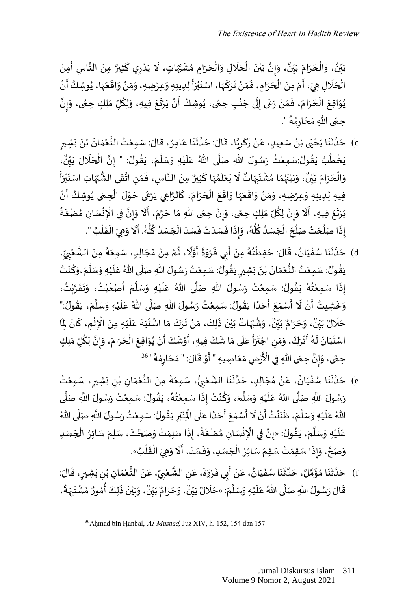، وَإِنَّ بَيْنَ الْحَلَالِ وَالْحَرَامِ مُشَبَّهَاتٍ، لَا يَدْرِي كَثِيرٌ ֦ ْ  $\ddot{\cdot}$  $\tilde{\cdot}$ j ا  $\ddot{\phantom{0}}$ ؚ<br>؞  $\ddot{\cdot}$  $\overline{\phantom{a}}$ ֦֧֦֧֦֧֦֧֦֧֦֧֦֧֦֧֦֧֦֧ׅ֦֜֜֜֜֜֜֜֜֜֜֜֜֜֜֜<br>**֡**  $\ddot{\phantom{0}}$  $\ddot{\phantom{0}}$  $\overline{\phantom{a}}$ ֦֧֦֧֦֧֦֧֦֧֦֧֦֧֦֧֦֧֦֧ׅ֦֜֜֜֜֜֜֜֜֜֜֜֜֜֜֜<br>**֡**  $\ddot{\cdot}$ ់<br>៖ ي  $\ddot{\cdot}$ انة<br>•  $\frac{1}{2}$  $\ddot{\ }$ ٍ<br>په ، وَالْحَرَامَ بَيِّنٌ ِّ ي  $\ddot{\cdot}$  $\frac{1}{2}$  $\ddot{\cdot}$  $\overline{\phantom{a}}$ ֦֧֦֧֦֧֦֧֦֧֦֧֦֧֦֧֦֧֦֧֦֧֦֧֦֧֦֧֧֜֓֟֓֟֓֟֓֟֓֜֜֜  $\overline{\phantom{a}}$ و<br>ٍ• بَيِّنٌ، وَالْحَرَامَ بَيِّنٌ، وَإِنَّ بَيْنَ الْحَلَالِ وَالْحَرَامِ مُشَبَّهَاتٍ، لَا يَدْرِي كَثِيرٌ مِنَ النَّاسِ أَمِنَ ِّ ي  $\ddot{\cdot}$  $\ddot{\cdot}$  $\ddot{\cdot}$ الة  $\ddot{\cdot}$ ້<br>: الْحَلَالِ هِيَ، أَمْ مِنَ الْحَرَامِ، فَمَنْ تَرَكَهَا، اسْتَبْرَأَ لِدِينِهِ وَعِرْضِهِ، وَمَنْ وَاقَعَهَا، يُوشِكُ أَنْ -<br>; ُ  $\frac{1}{2}$  $\ddot{\phantom{0}}$  $\ddot{\phantom{0}}$  $\ddot{\phantom{0}}$ ْ  $\ddot{\ }$  $\tilde{\cdot}$  $\tilde{\cdot}$ ֦֦֧֦֪֦֚֝֝֝֝֝֝֝֝֬֝֝֓֕֝֝֝֟֓֝֬֝֝֬֝֝֬֝֝֬֝֝֬֝֝<br>֧֧֧֧֧֧֧֧֝֬֝֬֝֬֝֬֝  $\ddot{\phantom{0}}$ ֦֧֦֦֦֦֦֪֝֝֝֝֝֟֟ ب  $\ddot{\phantom{0}}$  $\frac{1}{2}$ J  $\overline{\cdot}$  $\ddot{\phantom{0}}$ ْ  $\overline{a}$  $\ddot{\cdot}$ **ृ**  $\ddot{\cdot}$  $\overline{\phantom{a}}$ ْ  $\ddot{\cdot}$ **ٔ** Į  $\ddot{\phantom{0}}$  $\ddot{\phantom{0}}$  $\overline{\phantom{a}}$ ْ  $\frac{1}{2}$ يُوَاقِعَ الْحَرَامَ، فَمَنْ رَعَى إِلَى جَنْبِ حِعًى، يُوشِكُ أَنْ يَرْتَعَ فِيهِ، وَلِكُلِّ مَلِكٍ حِعًى، وَإِنَّ  $\ddot{\phantom{0}}$ ً  $\tilde{\cdot}$ .<br>م  $\ddot{\phantom{0}}$  $\ddot{\phantom{0}}$ -<br>-<br>"  $\ddot{\cdot}$ ់<br>• .<br>: ُ ً ْ  $\ddot{\phantom{0}}$  $\tilde{\mathbf{r}}$ ل !<br>!  $\overline{\phantom{a}}$  $\ddot{\cdot}$ ំ  $\frac{1}{2}$ ۔<br>:  $\overline{a}$  $\ddot{\cdot}$  $\ddot{\phantom{0}}$ ْ  $\ddot{\phantom{0}}$  $\ddot{\phantom{0}}$ ُ ان<br>• حِمَى اللهِ مَحَارِمُهُ " ٍ<br>م ؚ<br>؞ <u>ر</u>  $\overline{\phantom{a}}$  $\frac{1}{2}$  $\ddot{\phantom{0}}$ َ.

- c) حَدَّثَنَا يَحْيَى بْنُ سَعِيدٍ، عَنْ زَكَرِيَّا، قَالَ: حَدَّثَنَا عَامِرٌ، قَالَ: سَمِعْتُ النُّعْمَانَ بْنَ بَشِيرٍ  $\ddot{\cdot}$  $\ddot{\cdot}$ ំ<br>•  $\ddot{\cdot}$  $\frac{1}{2}$ ْ ُّ ٝ<br>ؙ  $\ddot{\phantom{0}}$  $\overline{\phantom{a}}$  $\ddot{\cdot}$  $\ddot{\phantom{0}}$ اء  $\overline{\phantom{a}}$  $\ddot{\phantom{0}}$ اند<br>م ِ ֦  $\ddot{\cdot}$ ؙ۠۠  $\overline{\phantom{a}}$ **ءِ** ំ  $\ddot{\phantom{0}}$ ْ  $\ddot{\cdot}$  $\ddot{\cdot}$  $\ddot{\cdot}$ ا  $\ddot{\phantom{0}}$ ֓<u>֓</u>֓׆ ِّ ي  $\ddot{\cdot}$ ب ل َّل ح ال ِن : " إ ولُ ق ، ي م ل س ِه و ي ل ُهللا <sup>ع</sup> ى ل ِهللا ص ول سُ ر تُ ِمع :س ولُ ق ي بُ ط خ ي ،  $\frac{1}{1}$  $\overline{\phantom{a}}$ ֦֧֦֧֦֧֦֧֦֧֝<u>֦</u> اتة<br>• ُ  $\ddot{\cdot}$  $\ddot{\phantom{0}}$ ا  $\tilde{\cdot}$ ֦֧֦֧֦֧֦֧<u>֦</u>  $\mathbf{r}$  $\overline{\phantom{a}}$ ا<br>آ  $\ddot{\phantom{0}}$ ំ<br>រ ۔<br>پیدائش  $\ddot{\cdot}$ ٍ<br>م **ٔ**  $\ddot{\cdot}$ ٍ<br>پ ن  $\ddot{\cdot}$ ، وَبَيْنَهُمَا مُشْتَبِهَاتٌ لَا يَعْلَمُهَا كَثِيرٌ مِنَ النَّاسِ، فَمَنِ اتَّقَى الشُّبُهَاتِ اسْتَبْرَأَ ់<br>| ب -<br>-<br>" ا<br>زر ُ ُّ  $\frac{1}{2}$ <u>ا:</u> ِ  $\frac{1}{2}$  $\frac{1}{2}$ الع  $\ddot{\cdot}$ ֦  $\overline{\phantom{a}}$ ر<br>م .<br>í ំ<br>រ  $\ddot{\cdot}$  $\tilde{t}$  $\overline{\phantom{a}}$ ِ  $\ddot{\phantom{0}}$ ا<br>فر ر<br>م  $\frac{1}{2}$ ر<br>رو  $\ddot{\cdot}$ ۠<br>ؙ  $\ddot{\cdot}$  $\tilde{\cdot}$ و<br>. وَالْحَرَامَ بَيِّنٌ، وَبَيْنَهُمَا مُشْتَبِهَاتٌ لَا يَعْلَمُهَا كَثِيرٌ مِنَ النَّاسِ، فَمَنِ اتَّقَى الشُّبُهَاتِ اسْتَبْرَأَ ِّ ي  $\ddot{\cdot}$  $\frac{1}{2}$  $\ddot{\cdot}$  $\overline{\phantom{a}}$ ֦֧֦֧֦  $\frac{1}{\sqrt{2}}$ -<br>F ْ ِ<br>فِيهِ لِدِينِهِ وَعِرْضِهِ، وَمَنْ وَاقَعَهَا وَاقَعَ الْحَرَامَ، كَالرَّاعِي يَرْعَى حَوْلَ الْحِمَى يُوشِكُ أَنْ Į ُ  $\ddot{\ }$ ֦֧֦֧֦֧֦֧֦֧֦֧֦֧֦֧֧֦֧֦֧֦֧֜֜֓<br>**֡** ֦֧֦֧֦֧֦֧֦֧֦֧֦֧֦֧֦֧֦֧֦֧֦֧֦֧֦֧<br>**֧** ֝֝֝֝֝֝֝֝֝֝֝֝֝֝֝֝֝֝֝֝֝֝֝֝<br>֧֝֝֝֝֝֝֝  $\overline{\phantom{a}}$  $\frac{1}{2}$ -<br>- $\frac{1}{2}$  $\ddot{\cdot}$  $\overline{\phantom{a}}$ ْ  $\ddot{\phantom{0}}$  $\ddot{\mathbf{r}}$  $\tilde{\cdot}$  $\tilde{z}$  $\ddot{\phantom{0}}$  $\ddot{\mathbf{r}}$  $\tilde{\cdot}$ ំ<br>•  $\frac{1}{2}$  $\tilde{\cdot}$  $\tilde{\cdot}$  $\ddot{\phantom{0}}$ يَرْتَعَ فِيهِ، أَلَا وَإِنَّ لِكُلِّ مَلِكٍ حِمًى، وَإِنَّ حِمَى اللهِ مَا حَرَّمَ، أَلَا وَإِنَّ فِي الْإِنْسَانِ مُضْغَةً  $\ddot{ }$  $\ddot{\ }$ -<br>-<br>- $\ddot{\cdot}$ ُ ْ ِ ْ ة<br>•  $\frac{1}{2}$  $\ddot{\ }$ ر<br>أ .<br>چ  $\ddot{\phantom{0}}$  $\overline{\phantom{a}}$  $\ddot{\ }$  $\ddot{\phantom{0}}$ ا<br>:  $\sum_{i=1}^{n}$  $\tilde{\cdot}$ ้<br>ถ  $\ddot{\ }$ ٍ<br>م ا<br>م ِ  $\overline{\phantom{a}}$ ֦֧֦֧֦֧֦֧֦֧֦֦֧֝֝֝֝֜<br>֧֢֟֜֜<sup>֓</sup>֧֓֝֬֝  $\frac{1}{2}$ "<br>إِذَا صَلُحَتْ صَلُّحَ الْجَسَدُ كُلُّهُ، وَإِذَا فَسَدَتْ فَسَدَ الْجَسَدُ كُلُّهُ. أَلَا وَهِيَ الْقَلْبُ ". ْ .<br>: ֦֧֦֧֦֧֦֧֦֧֦֧֦֧֦֧֧֦֧֧֜֓֜֜֓֓<u>֚</u>  $\ddot{\phantom{0}}$  $\tilde{\cdot}$ ֧֦֧֦֧֦֧֦֧֝֝֝֝֝֜<br>֧֚֝֟֜֜֜֜֜֝֜֝֜֝֜֞  $\ddot{\cdot}$ ٍ<br>مُ ُّ ُ ۔<br>''  $\overline{\phantom{a}}$ ֦֧֦֧֦֧֦֧֦֧֧֦֧֧֦֧֝֜֜֓֟֓֓֜֜֓֜**֦**  $\overline{\phantom{a}}$ .<br>: ْ  $\overline{\phantom{a}}$ .<br>. .<br>:  $\sum_{i=1}^{n}$  $\ddot{\phantom{0}}$ ر<br>ر ِ<br>پاڻ <u>و</u> ٍ<br>'  $\overline{\phantom{a}}$ ْ  $\ddot{\phantom{0}}$ ہ<br>ا  $\overline{\phantom{a}}$ أُ  $\frac{1}{2}$
- d) حَدَّثَنَا سُفْيَانُ، قَالَ: حَفِظْتُهُ مِنْ أَبِي فَرْوَةَ أَوَّلًا، ثُمَّ مِنْ مُجَالِبٍ، سَمِعَهُ مِنَ الشَّعْبِيِّ، ֦֧֦֧֦֧֦֧֦֧֦֧֦֜֜֜֜֜֜֜֜ **ءِ**  $\ddot{\phantom{0}}$ ֦֧֦֧֦֧֦֧<u>֦</u>  $\ddot{\cdot}$  $\ddot{\cdot}$ اند<br>ا  $\overline{\phantom{a}}$ ِّ **ِ** ំ<br>៖ ا  $\ddot{\cdot}$ ِ<br>مُ  $\ddot{\phantom{0}}$  $\overline{\phantom{a}}$ ؚ<br>؞ ْ ان<br>م ر<br>م ٍ<br>الم ا<br>م  $\ddot{\cdot}$  $\ddot{\phantom{0}}$  $\tilde{\cdot}$  $\ddot{\cdot}$ ا<br>;  $\frac{1}{2}$ ْ ٍ<br>مُ ُ ֦֧֦֧֦֧֦֧֦֧֦֧֦֧֧֦֧֦֧ׅ֦֜֜֜֓֜֜֜֜֜֜֜֜֜֜֜֜<br>**֡**  $\ddot{\phantom{0}}$ .<br>يَقُولُ: سَمِعْتُ النُّعْمَانَ بْنَ بَشِيرٍ يَقُولُ: سَمِعْتُ رَسُولَ اللهِ صَلَّى اللهُ عَلَيْهِ وَسَلَّمَ،وَكُنْتُ ້<br>. ِّ  $\tilde{\cdot}$  $\overline{\phantom{a}}$ ا  $\ddot{\ }$ ֦֧֦֧<u>֦</u>  $\ddot{\cdot}$  $\overline{\phantom{a}}$ ا  $\ddot{\cdot}$ ំ<br>រ ٍ<br>په  $\ddot{\phantom{0}}$ ٍ  $\ddot{\cdot}$  $\ddot{\cdot}$ ំ  $\ddot{\cdot}$  $\overline{\phantom{a}}$ ំ<br>រ ُّ ំ<br>រ ُ  $\ddot{\phantom{0}}$ إِذَا سَمِعْتُهُ يَقُولُ: سَمِعْتُ رَسُولَ اللهِ صَلَّى اللهُ عَلَيْهِ وَسَلَّمَ أَصْغَيْتُ، وَتَقَرَّبْتُ،  $\ddot{\phantom{0}}$ ֦֧֦֦֦֝֝**֦** ٍ<br>په  $\ddot{\cdot}$ ر<br>ر ۔<br>• ំ  $\ddot{\cdot}$ ំ<br>•  $\ddot{\cdot}$  $\frac{1}{1}$  $\ddot{\ }$ ំ<br>រ ์<br>•  $\ddot{\cdot}$  $\overline{\phantom{a}}$ ا  $\tilde{\cdot}$ ំ<br>រ  $\mathbf{r}$  $\overline{\phantom{a}}$ ا<br>آ ء<br>وَخَشِيتُ أَنْ لَا أَسْمَعَ أَحَدًا يَقُولُ: سَمِعْتُ رَسُولَ اللهِ صَلَّى اللهُ عَلَيْهِ وَسَلَّمَ، يَقُولُ:" ُ  $\ddot{\cdot}$  $\ddot{\phantom{0}}$ ا  $\tilde{\cdot}$ ֦֧֦֧֦֧<u>֦</u>  $\mathbf{r}$  $\overline{\phantom{a}}$ ا<br>آ  $\ddot{\cdot}$ ֦֧֦֦֦֝֝**֦** ا<br>م  $\ddot{\cdot}$ ا<br>ا  $\overline{\phantom{a}}$ -<br>F  $\ddot{\phantom{0}}$  $\frac{1}{2}$ フラ .<br>۶ ْ ֺ֖֪֖֧֧֧֦֧֧֛֚֚֚֝֝֝֝֬֝֓֕֓֕֓֝֬֝֓֕֓֝֬֝֬֝֬֝֬֝֓֜֜  $\ddot{\cdot}$  $\tilde{.}$ -<br>-<br>. ، وَشُٰہُ َاتٌّ بَيْنَ ذَلِكَ، مَنْ تَرَكَ مَا اشْتَ ۠۠۠  $\ddot{\ }$  $\frac{1}{2}$  $\ddot{\cdot}$  $\ddot{\phantom{0}}$ ំ  $\ddot{\ }$  $\ddot{\cdot}$  $\ddot{\cdot}$ ់<br>**់** ي  $\ddot{\cdot}$  $\ddot{\mathbf{z}}$ ر<br>• ٍ<br>م  $\tilde{ }$ **ٌ**<br>بو ، وَحَرَامٌ بَيِّنٌ ์<br>∙ั ي  $\ddot{\cdot}$  $\ddot{\cdot}$  $\overline{\phantom{a}}$  $\overline{\phantom{a}}$ و<br>. حَلَالٌ بَيِّنٌ، وَحَرَامٌ بَيِّنٌ، وَشُبُهَاتٌ بَيْنَ ذَلِكَ، مَنْ تَرَكَ مَا اشْتَبَهَ عَلَيْهِ مِنَ الْإِثْمِ، كَانَ لِمَا ِّ ي  $\ddot{\cdot}$  $\overline{\phantom{a}}$  $\ddot{\phantom{0}}$  $\mathbf{r}$ ِ  $\ddot{\cdot}$ .<br>~ ֦֧֦֧֦֧֦֧֦֧֦֧֦֧֦֧ׅ֧֦֧֦֧֦֧֦֧֧֦֧֧֦֧֧֦֧֜֓֓֜֓֓֜֓֓֜֓֓ ِ ֦֧֦֧֦֧֦֧֦֧֦֧֧֦֧֧֧֦֧֧֦֧֧֝֝֜֓֜֜֓֜֜֓֜֜֜֜֜֜<br>**֧**  $\ddot{\cdot}$ ំ<br>រ  $\ddot{\phantom{0}}$  $\overline{\phantom{a}}$  $\overline{\phantom{a}}$  $\ddot{\phantom{0}}$ اسْتَبَانَ لَهُ أَتْرَكَ، وَمَنِ اجْتَرَأَ عَلَى مَا شَكَّ فِيهِ، أَوْشَكَ أَنْ يُوَاقِعَ الْحَرَامَ، وَإِنَّ لِكُلِّ مَلِكٍ  $\ddot{\ }$ ِّ ا<br>تار  $\frac{1}{2}$  $\tilde{\cdot}$  $\ddot{\ }$  $\ddot{\cdot}$  $\overline{\phantom{a}}$ ֦֧֦֧֦֧֦֧֦֧֦֧֦֧֦֧֦֧֦֧֦֧֦֜֜֓֜֜֜֜֜֜֜֜֜֜֜֜<br>**֡**  $\ddot{\phantom{0}}$  $\ddot{\ }$ ُ ំ<br>• -<br>F ۔<br>: ֦֧֦֧֦֧֦֧֦֧֦֧֦֧֦֧֦֧֦֧֦֧֦֧֦֧֦**֦**  $\ddot{\phantom{0}}$  $\ddot{\phantom{0}}$  $\ddot{\ }$  $\overline{\phantom{a}}$  $\overline{\phantom{a}}$ ֧֪֪֪֧֧֪֧֧֧֧ׅ֧֧֧֛֛֛֛֪֧֝֝֟֝֝֟֟֓֝֬֟֓֝֟֓֝֬֟֓֝֬֝֬֜֜֟֓֝֬֜֜֜֜֝֬֜  $\ddot{\phantom{0}}$  $\ddot{\phantom{0}}$ ت ْ ِ  $\frac{1}{2}$  $\tilde{\cdot}$  $\frac{1}{2}$  $\ddot{\cdot}$ ֦֧֦֦֧֦֦֪֪֦֖֝֝֝֟֓֟֓֟֓֟֓֟֓֟֓֟֓֕֓֟֓֟֓֟֓֟֓֟֓֟֓֟֓֟֓֟֓֟֓֟֓֕֟֓֟֓֟֓֟ ֚֝<br>׆֧ و<br>م -<br>1  $\ddot{\cdot}$  $\ddot{\ }$  $\ddot{\phantom{0}}$ .<br>زُضِ مَعَاصِيهِ " أَوْ قَالَ: " مَحَارِمُهُ " ٍ<br>مُ ؚ<br>؞ ِ  $\overline{\phantom{a}}$  $\frac{1}{2}$ ֦֧֦֦֧֦֧֦֧֦֧֦֧֦֧֦֧֦֧֦֦֧֦֧֧֦֧֧֦֧֧֦֧֦֧֦֧֦֧֧֦֧֪֦֧֝֜֜֓֕֓֬֝֜֓֓֜֓֓֜֓֓֓֜֓֝֬ ֦֧֦֧֦֧֦֧֦֧֦֧֦֧֦֧֦֧֦֧֦֧֦֧֦֧֦**֦** ֧֧ׅ֦֧֧֦֧֦֧֦֧֦֧֦֧֦֧֦֧֦֧֦֧֦֧֦֧֧֦֧֧֦֧֧֧֞֝֜֝֜֓֕֓֕֓֕֓֕֓֡֝֬֜<br>֧֧֧֧֚֝֠֝֬׆֧  $\ddot{\phantom{0}}$  $\frac{1}{2}$ ٝ<br>۠ :<br>د م حِمًى، وَإِنَّ حِمَى اللّهِ فِي الْأَرْضِ مَعَاصِيهِ " أَوْ قَالَ: " مَحَارِمُهُ "<sup>36</sup>  $\ddot{\phantom{0}}$ انة<br>•  $\frac{1}{2}$  $\tilde{\cdot}$ ً
- e) حَدَّثَنَا سُفْيَانُ، عَنْ مُجَالِبٍ، حَدَّثَنَا الشَّعْبِيُّ، سَمِعَهُ مِنَ النُّعْمَانِ بْنِ بَشِيرٍ، سَمِعْتُ ا  $\overline{\phantom{a}}$ ْ <u>ز</u>  $\ddot{\cdot}$ ِ ْ  $\frac{1}{2}$ ֦֧֦֦֧֝<u>֦</u> ُّ  $\ddot{\cdot}$ ٍ<br>مُ  $\ddot{\phantom{0}}$ و<br>م **∶** ٝ<br>ؙ اند<br>ما  $\ddot{\cdot}$  $\ddot{\phantom{0}}$ ا  $\overline{\phantom{a}}$  $\overline{\phantom{a}}$ ر<br>م ំ  $\overline{\phantom{a}}$ **ءِ**  $\ddot{\ }$ ْ  $\ddot{\cdot}$  $\ddot{\cdot}$ رَسُولَ اللَّهِ صَلَّى اللهُ عَلَيْهِ وَسَلَّمَ، وَكُنْتُ إِذَا سَمِعْتُهُ، يَقُولُ: سَمِعْتُ رَسُولَ اللَّهِ صَلَّى اء  $\ddot{\cdot}$ ْ ۔<br>مذہ  $\ddot{\phantom{0}}$ ٍ<br>مُ ٍ<br>" ْ  $\ddot{\cdot}$ ់<br>• <u>و</u>  $\ddot{\ }$  $\overline{\phantom{a}}$ ا  $\tilde{\cdot}$ ֦֧֦֧֦֧֦֧<u>֦</u>  $\frac{1}{1}$  $\overline{\phantom{a}}$ ا  $\ddot{\phantom{0}}$ ់<br>: لَّ تَعَلَيْهِ وَسَلَّمَ، ظَنَنْتُ أَنْ لَا أَسْمَعَ أَحَدًا عَلَى الْمِنْبَرِ يَقُولُ: سَمِعْتُ رَسُولَ اللَّهِ صَلَّى اللهُ  $\ddot{\cdot}$  $\tilde{t}$  $\ddot{\phantom{0}}$ ا<br>آ  $\overline{\phantom{a}}$ ؗ<br>۠  $\frac{1}{1}$  $\overline{\phantom{a}}$ م<br>آ  $\ddot{\cdot}$ ំ<br>រ ُ  $\ddot{\cdot}$ ِ  $\ddot{\phantom{0}}$ ب ؙ<br>ٔ ْ  $\ddot{\phantom{0}}$  $\overline{\phantom{a}}$ ֧֦֧֝<u>֚</u>  $\ddot{\phantom{0}}$ ٦<br>ئ  $\ddot{\phantom{0}}$  $\frac{1}{2}$ ֧֖֖֖֖֖֖֪֧֧֧֧֧֛֛֚֚֚֚֚֚֚֚֚֚֚֚֚֝֜֝֓֞֝֬֝֓֞֝֬֝֓֬֝֓֟֓֡֟֓֝֓֓֝֬֓֜֜֓֜֜ ֖֚֓ ֖֖֪֪֪֦֪֦֪֦֚֚֚֝֝֝֝֝֝֝֟֟֟֓֟֟֓֟֓֟֟֟֟ عَلَيْهِ وَسَلَّمَ، يَقُولُ: «إِنَّ فِي الْإِنْسَانِ مُضْغَةً، إِذَا سَلِمَتْ وَصَحَّتْ، سَلِمَ سَائِرُ الْجَسَدِ  $\overline{\phantom{a}}$ ֦֧֦֧֦֧֦֧֦֧֦֧֦֧֧֦֧֧֦֧֝֜֜֓֜֜֓<br>**֡**  $\ddot{\phantom{0}}$ ا  $\frac{1}{2}$  $\ddot{\cdot}$ ً  $\ddot{\cdot}$ ؚ<br>؞ ់<br>: ِ ֦֧֦֧֦֧֦֧֦֧֦֧֦֧֦֧֦֧֦֧֦֧֦֧֧֧֧֜֜֜֜֜֜֜֜֜֜֜<br>**֡** بة ا<br>من  $\ddot{\cdot}$  $\overline{\phantom{a}}$ ا  $\overline{\phantom{a}}$ ؗ<br>۠  $\overline{\phantom{a}}$  $\overline{\phantom{a}}$ وَصَحَّ، وَإِذَا سَقِمَتْ سَقِمَ سَائِرُ الْجَسَدِ، وَفَسَدَ، أَلَا وَهِيَ الْقَلْبُ»  $\overline{\phantom{a}}$ ْ  $\overline{\phantom{a}}$  $\frac{1}{2}$  $\ddot{\cdot}$  $\sum_{i=1}^{n}$  $\tilde{\cdot}$ ا<br>ا ់<br>(  $\ddot{\cdot}$ ْ  $\ddot{\phantom{0}}$  $\tilde{\cdot}$ ֧֦֧֝<br>֧֧֝֟֟֬֟֓֝֬֝֓֝֬֝֓֝  $\frac{1}{2}$ ۔<br>۔  $\ddot{\cdot}$  $\tilde{\cdot}$ .
- f) حَدَّثَنَا مُؤَمَّلٌ، حَدَّثَنَا سُفْيَانُ، عَنْ أَبِي فَرْوَةَ، عَنِ الشَّعْبِيِّ، عَنْ النُّعْمَانِ بْنِ بَشِيرٍ، قَالَ:  $\ddot{\phantom{0}}$ <u>ر</u>  $\ddot{\cdot}$ ِ ំ  $\frac{1}{2}$ ٝ<br>ؙ ُّ ំ<br>•  $\overline{\phantom{a}}$ ِ ِّ **∶** ֦֧֦֧֦֧֦֧֦֧֦֧֦֧֦֟ ا<br>م ِ  $\overline{\phantom{a}}$  $\ddot{\phantom{0}}$  $\tilde{\cdot}$  $\ddot{\cdot}$ ا<br>,  $\ddot{\cdot}$ ំ<br>•  $\overline{\phantom{a}}$ ُ  $\frac{1}{1}$ ֦֧֦֧֦֧֦֧֦֧֦֧֦֧֦֧֦֧֦֧֦֧֦֧֦֧֦֧֦֧֦֧  $\ddot{\cdot}$  $\ddot{\mathbf{r}}$ ا  $\ddot{\phantom{0}}$ بر  $\frac{1}{2}$ ؚ<br>؞  $\ddot{\cdot}$  $\ddot{\cdot}$ اته  $\ddot{\phantom{0}}$  $\tilde{\cdot}$ ،و و<br>. ، وَحَرَامٌ بَيِّنٌ ِّ ي  $\frac{1}{2}$  $\ddot{\cdot}$  $\overline{\phantom{a}}$  $\ddot{\ }$ ۔<br>و قَالَ رَسُولُ اللَّهِ صَلَّى اللهُ عَلَيْهِ وَسَلَّمَ: «حَلَالٌ بَيِّنٌ، وَحَرَامٌ بَيِّنٌ، وَبَيْنَ ذَلِكَ أُمُورٌ مُشْتَبِهَةٌ، ِّ ي  $\ddot{\cdot}$ ۔<br>آ  $\overline{\phantom{a}}$  $\ddot{\phantom{0}}$ ا  $\ddot{\ }$ ֦֧֦֧֦֧<u>֦</u>  $\ddot{\phantom{0}}$  $\overline{\phantom{a}}$ ا  $\ddot{\cdot}$  $\ddot{\phantom{0}}$ ُّ بَيْنَ ذَلِكَ أُمُورٌ مُشْتَبِهَةٌ  $\ddot{\phantom{0}}$ ِ  $\ddot{\phantom{0}}$ ْ ُ ۔<br>م ا<br>من  $\ddot{\cdot}$  $\ddot{\cdot}$ ْ ي  $\ddot{\phantom{0}}$

 $36A$ hmad bin Hanbal, Al-Musnad, Juz XIV, h. 152, 154 dan 157.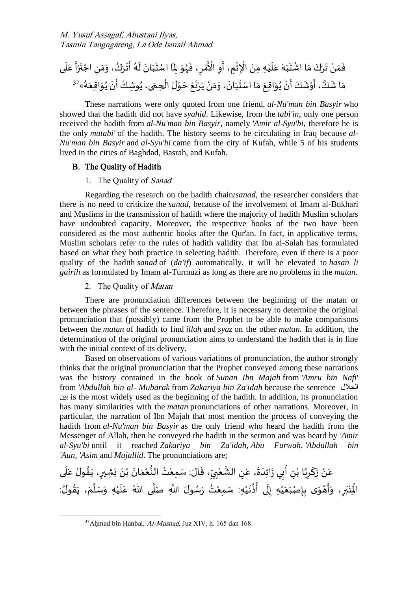أ ر ت ْ اج ِ ن م ،و ُ ك ر ْ ت أ ُ ه ل ان ب ت ا اسْ ِ ْل و ُ ه ، ف ِ ر ْ م ْ اْل ِ و ِم، أ ْ ث ِ ْ اإل ِه ِمن ْ ي ل ع ه ب ت ْ ا اش م ك ر ت ْ ن م ف ى ل ع وِش ُ ى، ي ِحم ْ ال ل ْ و ح ْ ع ت رْ ي ْ ن م ،و ان ب ت ا اسْ م ِقع ا و ُ ي ْ ن أ ك ش ْ و ، أ كا ا ش م « ُ ه ِقع ا و ُ ي ْ ن أ <sup>ك</sup> <sup>37</sup> ْ

These narrations were only quoted from one friend, *al-Nu'man bin Basyir* who showed that the hadith did not have *syahid*. Likewise, from the *tabi'in*, only one person received the hadith from *al-Nu'man bin Basyir*, namely *'Amir al-Syu'bi*, therefore he is the only *mutabi'* of the hadith. The history seems to be circulating in Iraq because *al-Nu'man bin Basyir* and *al-Syu'bi* came from the city of Kufah, while 5 of his students lived in the cities of Baghdad, Basrah, and Kufah.

## B. The Quality of Hadith

### 1. The Quality of Sanad

Regarding the research on the hadith chain/*sanad*, the researcher considers that there is no need to criticize the *sanad*, because of the involvement of Imam al-Bukhari and Muslims in the transmission of hadith where the majority of hadith Muslim scholars have undoubted capacity. Moreover, the respective books of the two have been considered as the most authentic books after the Qur'an. In fact, in applicative terms, Muslim scholars refer to the rules of hadith validity that Ibn al-Salah has formulated based on what they both practice in selecting hadith. Therefore, even if there is a poor quality of the hadith *sanad* of (*da'if*) automatically, it will be elevated to *hasan li gairih* as formulated by Imam al-Turmuzi as long as there are no problems in the *matan*.

### 2. The Quality of Matan

There are pronunciation differences between the beginning of the matan or between the phrases of the sentence. Therefore, it is necessary to determine the original pronunciation that (possibly) came from the Prophet to be able to make comparisons between the *matan* of hadith to find *illah* and *syaz* on the other *matan*. In addition, the determination of the original pronunciation aims to understand the hadith that is in line with the initial context of its delivery.

Based on observations of various variations of pronunciation, the author strongly thinks that the original pronunciation that the Prophet conveyed among these narrations was the history contained in the book of *Sunan Ibn Majah* from *'Amru bin Nafi*' from *'Abdullah bin al- Mubarak* from *Zakariya bin Za'idah* because the sentence الحالل بين is the most widely used as the beginning of the hadith. In addition, its pronunciation has many similarities with the *matan* pronunciations of other narrations. Moreover, in particular, the narration of Ibn Majah that most mention the process of conveying the hadith from *al-Nu'man bin Basyir* as the only friend who heard the hadith from the Messenger of Allah, then he conveyed the hadith in the sermon and was heard by *'Amir al-Syu'bi* until it reached *Zakariya bin Za'idah*, *Abu Furwah*, *'Abdullah bin 'Aun, 'Asim* and *Majallid*. The pronunciations are;

í عَنْ زَكَرِيًا بْنِ أَبِي زَائِدَةَ، عَنِ الشَّعْبِيِّ، قَالَ: سَمِعْتُ النُّعْمَانَ بْنَ بَشِيرٍ، يَقُولُ عَلَى ំ<br>៖ ُّ ֦֧֦֧֦  $\ddot{\phantom{0}}$ ِ ِّ **∶** ֦֧֦֧֦ الأ ِ  $\overline{\phantom{a}}$  $\ddot{\phantom{0}}$  $\overline{\phantom{a}}$  $\ddot{\phantom{0}}$ ا<br>:  $\ddot{\cdot}$ ِ ំ اء ِ ֦  $\ddot{\cdot}$ ំ  $\overline{\phantom{a}}$  $\mathbf{r}$  $\frac{1}{2}$ ُ  $\ddot{\cdot}$ <u>ر</u>  $\ddot{\cdot}$  $\ddot{\cdot}$ ំ<br>•  $\ddot{\cdot}$ : ِ<br>الْذِنْبَرِ، وَأَهْوَى بِإِصْبَعَيْهِ إِلَى أُذُنَيْهِ: سَمِعْتُ رَسُولَ اللَّهِ صَلَّى اللّهُ عَلَيْهِ وَسَلَّمَ، يَقُولُ ُ  $\ddot{\cdot}$  $\ddot{\phantom{0}}$ ا  $\ddot{\ }$ ំ<br>រ ۔<br>آ  $\overline{\phantom{a}}$ ا<br>آ  $\ddot{\phantom{0}}$ ֦֧֦֦֦֧֦֦֦֦֝֝֝֝֝֟ ֦֧֦֧֦֧֦֧<u>֦</u>  $\ddot{\cdot}$ ٍ<br>پ ۔<br>پو ֦֧<sup>֓</sup> ل !<br>∶ ْ  $\overline{\phantom{a}}$  $\frac{1}{1}$ <u>با</u>  $\ddot{\phantom{0}}$ ់<br>**្តុ** -<br>۽  $\tilde{ }$ ِ  $\overline{\phantom{a}}$ ب ំ ់<br>៖

 $37$ Ahmad bin Hanbal, Al-Musnad, Juz XIV, h. 165 dan 168.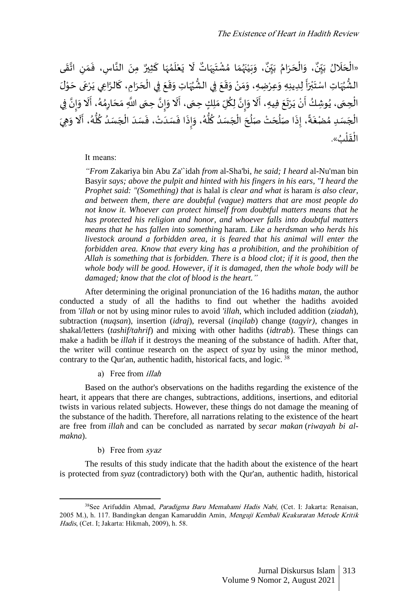، وَبَيْنَهُمَا مُشْتَ<sub>ِبَ</sub>مَاتٌ لَا يَعْلَمُهَا كَثِيرٌ مِنَ ا  $\ddot{\cdot}$ ֦  $\overline{\phantom{a}}$ ๋<br>ለ  $\tilde{1}$ ْ  $\ddot{\cdot}$  $\tilde{t}$  $\ddot{\phantom{0}}$ ِ  $\ddot{\phantom{0}}$ ْ ؚ<br>؞  $\frac{1}{2}$ بو  $\ddot{\phantom{0}}$ ំ<br>រ  $\ddot{\phantom{0}}$  $\ddot{\ }$ و<br>. ، وَالْحَرَامُ بَيِّنٌ ِّ ي  $\ddot{\cdot}$ ر<br>م  $\ddot{\cdot}$  $\overline{\phantom{a}}$ ֦֧֦֧֦֧֦֧֦֧֦֧֦֧֦֧֦֧֦֧֦֧֦֧֦֧֦֧֦֧֦֜֓֜֜֜֜֜֜֜֜  $\tilde{\cdot}$ ٍ<br>په «الْحَلَالُ بَيِّنٌ، وَالْحَرَامُ بَيِّنٌ، وَبَيْنَهُمَا مُشْتَبِهَاتٌ لَا يَعْلَمُهَا كَثِيرٌ مِنَ النَّاسِ، فَمَنِ اتَّقَى ِّ ي  $\ddot{\cdot}$  $\overline{\phantom{a}}$  $\overline{\phantom{a}}$ ֦֧֦֧֦֧֦֧֦֧֦֧֦֧֦֧֦֧֦֧֦֧֦֧֦֧֦֧֦֧֦֜֓֜֜֜֜֜֜֜֜  $\frac{1}{2}$ <u>ا</u> ِ  $\frac{1}{1}$  $\ddot{\cdot}$ الة ֦֧֦֧֦֧<u>֦</u> الشُّيُهَاتِ اسْتَبْرَأَ لِدِينِهِ وَعِرْضِهِ، وَمَنْ وَقَعَ فِي الشُّيُهَاتِ وَقَعَ فِي الْحَرَامِ، كَالرَّاعِي يَرْعَى حَوْلَ  $\ddot{\phantom{0}}$  $\overline{\phantom{a}}$  $\ddot{\cdot}$ ֦ **→**  $\ddot{\cdot}$  $\overline{\phantom{a}}$ ֧֦֧֦֧֦֧֦֧֦֦֝֝֟֜֜֜֜֜֜  $\ddot{\phantom{0}}$  $\ddot{\phantom{0}}$  $\ddot{\ }$  ُ ور<br>و  $\ddot{\phantom{0}}$  $\frac{1}{2}$  $\tilde{\cdot}$ ំ<br>•  $\tilde{\cdot}$  $\ddot{\ }$  $\tilde{\cdot}$ ֦֧֝֜֜֜֜֜֜֜֜֜֜*֛*  $\ddot{\phantom{0}}$ ់<br>រ ب  $\ddot{\phantom{0}}$  $\ddot{\mathbf{z}}$ ُ ُّ  $\frac{1}{2}$ ِّ<br>الْحِمَى، يُوشِكُ أَنْ يَرْتَعَ فِيهِ، أَلَا وَإِنَّ لِكُلِّ مَلِكٍ حِمَى، أَلَا وَإِنَّ حِمَى اللَّهِ مَحَارِمُهُ، أَلَا وَإِنَّ فِي  $\ddot{\phantom{0}}$ .<br>ة  $\frac{1}{2}$  $\tilde{\cdot}$  $\tilde{\mathbf{r}}$ -<br>}  $\ddot{\phantom{0}}$  $\frac{1}{\sqrt{2}}$ ا<br>و انة<br>•  $\frac{1}{2}$  $\ddot{\phantom{0}}$ ۔<br>آ -<br>;  $\ddot{\phantom{0}}$  $\ddot{ }$  $\ddot{\cdot}$ ّْ .<br>۽ ُ  $\ddot{\phantom{0}}$ ْ **!** اتة<br>•  $\frac{1}{2}$  $\tilde{\cdot}$ ر<br>آ י<br>י .<br>د ؚ<br>؞ ِ  $\overline{\phantom{a}}$  $\ddot{\phantom{0}}$ الْجَسَدِ مُضْغَةً، إِذَا صَلُحَتْ صَلُحَ<sup></sup> الْجَسَدُ كُلُّهُ، وَإِذَا فَسَدَتْ، فَسَدَ الْجَسَدُ كُلُّهُ، أَلَا وَهِيَ  $\tilde{\cdot}$ ֧֞֝<br>֧֧֧ׅ֧ׅ֛֛֧֧֝֟֟֜֝֟֓֟֝֟֜֝֜֜֜֜֜֜֓֟֓֟֓֟֟֟֟֟֟֜֝֟֓֟֓֝֟֜֜֓֝֟֓֟֓֟֓֟֓֝֬֝  $\ddot{\cdot}$ ٍ<br>مُ ُّ ِّ -<br>م  $\ddot{\phantom{0}}$ ֦֧֦֧֦֧֦֧֦֧֦֧֦֧֦֧֦֧֦֧֦֧֦֧֦֧<br>**֡**  $\overline{\phantom{a}}$  $\ddot{\cdot}$ ់<br>: ֖֦֦֦֚֚֚֚֚֚֚֚֚֚֚֚֚֚֚֡֞֝֬֝֝֝֝֬֝֓<br>֧֪֪֪֪֪֪֪֪֪֪֪֝֝֝  $\ddot{\cdot}$ .<br>:  $\frac{1}{2}$  $\ddot{\ }$ ٍ<br>مُ ء<br>ڏ ِّ ٍ<br>ٌ  $\overline{\phantom{a}}$ ֦֧֦֧֦֧֦֧֦֧֦֧֦֧֦֧֦֧֦֧֦֧֦֧֜֓<br>**֡**  $\overline{\phantom{a}}$ ٍ<br>ا  $\overline{\phantom{a}}$ ٍ<br>ا  $\ddot{\cdot}$ ً  $\ddot{\cdot}$ ؚ<br>؞  $\overline{\phantom{a}}$ ْ الْقَلْبُ». ْ  $\ddot{\phantom{0}}$ **ٔ** 

#### It means:

*"From* Zakariya bin Abu Za'`idah *from* al-Sha'bi*, he said; I heard* al-Nu'man bin Basyir *says; above the pulpit and hinted with his fingers in his ears, "I heard the Prophet said: "(Something) that is* halal *is clear and what is* haram *is also clear, and between them, there are doubtful (vague) matters that are most people do not know it. Whoever can protect himself from doubtful matters means that he has protected his religion and honor, and whoever falls into doubtful matters means that he has fallen into something* haram*. Like a herdsman who herds his livestock around a forbidden area, it is feared that his animal will enter the forbidden area. Know that every king has a prohibition, and the prohibition of Allah is something that is forbidden. There is a blood clot; if it is good, then the whole body will be good. However, if it is damaged, then the whole body will be damaged; know that the clot of blood is the heart."*

After determining the original pronunciation of the 16 hadiths *matan*, the author conducted a study of all the hadiths to find out whether the hadiths avoided from *'illah* or not by using minor rules to avoid *'illah*, which included addition (*ziadah*), subtraction (*nuqsan*), insertion (*idraj*), reversal (*inqilab*) change (*tagyir)*, changes in shakal/letters (*tashif/tahrif*) and mixing with other hadiths (*idtrab*). These things can make a hadith be *illah* if it destroys the meaning of the substance of hadith. After that, the writer will continue research on the aspect of *syaz* by using the minor method, contrary to the Qur'an, authentic hadith, historical facts, and logic. <sup>38</sup>

a) Free from *illah* 

Based on the author's observations on the hadiths regarding the existence of the heart, it appears that there are changes, subtractions, additions, insertions, and editorial twists in various related subjects. However, these things do not damage the meaning of the substance of the hadith. Therefore, all narrations relating to the existence of the heart are free from *illah* and can be concluded as narrated by *secar makan* (*riwayah bi almakna*).

b) Free from syaz

The results of this study indicate that the hadith about the existence of the heart is protected from *syaz* (contradictory) both with the Qur'an, authentic hadith, historical

<sup>38</sup>See Arifuddin Ahmad, Paradigma Baru Memahami Hadis Nabi, (Cet. I: Jakarta: Renaisan, 2005 M.), h. 117. Bandingkan dengan Kamaruddin Amin, Menguji Kembali Keakuratan Metode Kritik Hadis, (Cet. I; Jakarta: Hikmah, 2009), h. 58.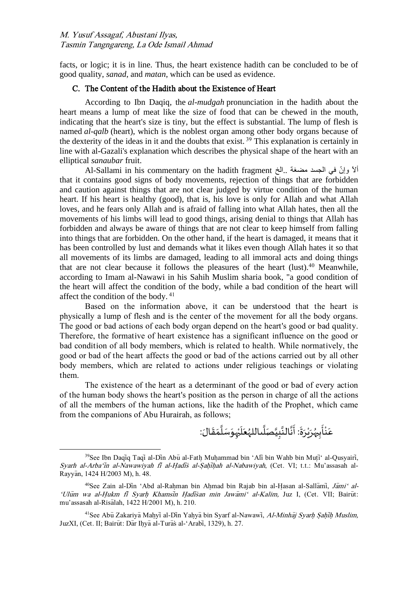facts, or logic; it is in line. Thus, the heart existence hadith can be concluded to be of good quality, *sanad*, and *matan*, which can be used as evidence.

## C. The Content of the Hadith about the Existence of Heart

According to Ibn Daqiq, the *al-mudgah* pronunciation in the hadith about the heart means a lump of meat like the size of food that can be chewed in the mouth, indicating that the heart's size is tiny, but the effect is substantial. The lump of flesh is named *al-qalb* (heart), which is the noblest organ among other body organs because of the dexterity of the ideas in it and the doubts that exist. <sup>39</sup> This explanation is certainly in line with al-Gazali's explanation which describes the physical shape of the heart with an elliptical *sanaubar* fruit.

Al-Sallami in his commentary on the hadith fragment الآ وإنّ في الجسد مضغة ..الخ that it contains good signs of body movements, rejection of things that are forbidden and caution against things that are not clear judged by virtue condition of the human heart. If his heart is healthy (good), that is, his love is only for Allah and what Allah loves, and he fears only Allah and is afraid of falling into what Allah hates, then all the movements of his limbs will lead to good things, arising denial to things that Allah has forbidden and always be aware of things that are not clear to keep himself from falling into things that are forbidden. On the other hand, if the heart is damaged, it means that it has been controlled by lust and demands what it likes even though Allah hates it so that all movements of its limbs are damaged, leading to all immoral acts and doing things that are not clear because it follows the pleasures of the heart  $(lust)$ .<sup>40</sup> Meanwhile, according to Imam al-Nawawi in his Sahih Muslim sharia book, "a good condition of the heart will affect the condition of the body, while a bad condition of the heart will affect the condition of the body. <sup>41</sup>

Based on the information above, it can be understood that the heart is physically a lump of flesh and is the center of the movement for all the body organs. The good or bad actions of each body organ depend on the heart's good or bad quality. Therefore, the formative of heart existence has a significant influence on the good or bad condition of all body members, which is related to health. While normatively, the good or bad of the heart affects the good or bad of the actions carried out by all other body members, which are related to actions under religious teachings or violating them.

The existence of the heart as a determinant of the good or bad of every action of the human body shows the heart's position as the person in charge of all the actions of all the members of the human actions, like the hadith of the Prophet, which came from the companions of Abu Hurairah, as follows;

 $\ddot{\phantom{0}}$ عَنْأَبِيُٰرَيْرَةَ: أَنَّالنَّبِيَّصَلَّىاللہُعَلَيْہِوَسَلَّمَقَالَ:  $\ddot{\cdot}$ ់<br>•  $\ddot{\cdot}$ ؚ<br>ر <u>با</u>  $\ddot{\cdot}$ ំ  $\overline{\phantom{a}}$  $\ddot{\phantom{0}}$  $\overline{a}$ ا  $\overline{\phantom{a}}$ ់<br>- $\overline{\mathbf{1}}$  $\overline{\phantom{a}}$ ر<br>ر ا<br>آ **⊥** الأ انه<br>•  $\frac{1}{2}$ 

 $39$ See Ibn Daqiq Taqi al-Din Abu al-Fath Muhammad bin 'Ali bin Wahb bin Muti' al-Qusyairi, Syarh al-Arba'in al-Nawawiyah fi al-Hadis al-Sahihah al-Nabawiyah, (Cet. VI; t.t.: Mu'assasah al-Rayyan, 1424 H/2003 M), h. 48.

<sup>&</sup>lt;sup>40</sup>See Zain al-Din 'Abd al-Rahman bin Ahmad bin Rajab bin al-Hasan al-Sallami, Jami' al-'Ulum wa al-Hukm fi Syarh Khamsin Hadisan min Jawami' al-Kalim, Juz I, (Cet. VII; Bairut: mu'assasah al-Risalah, 1422 H/2001 M), h. 210.

<sup>&</sup>lt;sup>41</sup>See Abū Zakariya Mahyi al-Din Yahya bin Syarf al-Nawawi, Al-Minhaj Syarh Sahih Muslim, JuzXI, (Cet. II; Bairūt: Dār Ihyā al-Turās al-'Arabī, 1329), h. 27.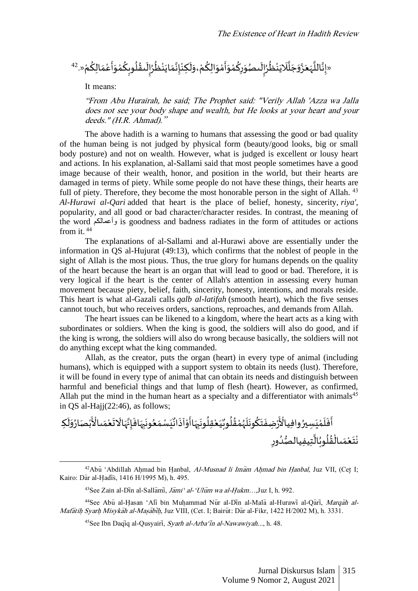۷ٍٍٍٍٍٍٍٍٍٍٍ٤ٍٍٍٍ٤
$$
\frac{1}{2} \left( \sum_{i=1}^{n} \tilde{c}_i \right) \left( \sum_{i=1}^{n} \tilde{c}_i \right) \left( \sum_{i=1}^{n} \tilde{c}_i \right) \left( \sum_{i=1}^{n} \tilde{c}_i \right) \left( \sum_{i=1}^{n} \tilde{c}_i \right) \left( \sum_{i=1}^{n} \tilde{c}_i \right) \left( \sum_{i=1}^{n} \tilde{c}_i \right) \left( \sum_{i=1}^{n} \tilde{c}_i \right) \left( \sum_{i=1}^{n} \tilde{c}_i \right) \left( \sum_{i=1}^{n} \tilde{c}_i \right) \left( \sum_{i=1}^{n} \tilde{c}_i \right) \left( \sum_{i=1}^{n} \tilde{c}_i \right) \left( \sum_{i=1}^{n} \tilde{c}_i \right) \left( \sum_{i=1}^{n} \tilde{c}_i \right) \left( \sum_{i=1}^{n} \tilde{c}_i \right) \left( \sum_{i=1}^{n} \tilde{c}_i \right) \left( \sum_{i=1}^{n} \tilde{c}_i \right) \left( \sum_{i=1}^{n} \tilde{c}_i \right) \left( \sum_{i=1}^{n} \tilde{c}_i \right) \left( \sum_{i=1}^{n} \tilde{c}_i \right) \left( \sum_{i=1}^{n} \tilde{c}_i \right) \left( \sum_{i=1}^{n} \tilde{c}_i \right) \left( \sum_{i=1}^{n} \tilde{c}_i \right) \left( \sum_{i=1}^{n} \tilde{c}_i \right) \left( \sum_{i=1}^{n} \tilde{c}_i \right) \left( \sum_{i=1}^{n} \tilde{c}_i \right) \left( \sum_{i=1}^{n} \tilde{c}_i \right) \left( \sum_{i=1}^{n} \tilde{c}_i \right) \left( \sum_{i=1}^{n} \tilde{c}_i \right) \left( \sum_{i=1}^{n} \tilde{c}_i \right) \left( \sum_{i=1}^{n} \tilde{c}_i \right) \left( \
$$

It means:

"From Abu Hurairah, he said; The Prophet said: "Verily Allah 'Azza wa Jalla does not see your body shape and wealth, but He looks at your heart and your deeds." (H.R. Ahmad)."

The above hadith is a warning to humans that assessing the good or bad quality of the human being is not judged by physical form (beauty/good looks, big or small body posture) and not on wealth. However, what is judged is excellent or lousy heart and actions. In his explanation, al-Sallami said that most people sometimes have a good image because of their wealth, honor, and position in the world, but their hearts are damaged in terms of piety. While some people do not have these things, their hearts are full of piety. Therefore, they become the most honorable person in the sight of Allah.<sup>43</sup> *Al-Hurawi al-Qari* added that heart is the place of belief, honesty, sincerity, *riya'*, popularity, and all good or bad character/character resides. In contrast, the meaning of the word وأعمالكم is goodness and badness radiates in the form of attitudes or actions from it. <sup>44</sup>

The explanations of al-Sallami and al-Hurawi above are essentially under the information in QS al-Hujurat (49:13), which confirms that the noblest of people in the sight of Allah is the most pious. Thus, the true glory for humans depends on the quality of the heart because the heart is an organ that will lead to good or bad. Therefore, it is very logical if the heart is the center of Allah's attention in assessing every human movement because piety, belief, faith, sincerity, honesty, intentions, and morals reside. This heart is what al-Gazali calls *qalb al-latifah* (smooth heart), which the five senses cannot touch, but who receives orders, sanctions, reproaches, and demands from Allah.

The heart issues can be likened to a kingdom, where the heart acts as a king with subordinates or soldiers. When the king is good, the soldiers will also do good, and if the king is wrong, the soldiers will also do wrong because basically, the soldiers will not do anything except what the king commanded.

Allah, as the creator, puts the organ (heart) in every type of animal (including humans), which is equipped with a support system to obtain its needs (lust). Therefore, it will be found in every type of animal that can obtain its needs and distinguish between harmful and beneficial things and that lump of flesh (heart). However, as confirmed, Allah put the mind in the human heart as a specialty and a differentiator with animals<sup>45</sup> in  $OS$  al-Hajj $(22:46)$ , as follows;

```
ِّ
            ؞<br>ڹ۠ڝؘٳۯؙ
                                 ់<br>•
                                   ֧֘֝<br>֧׆֧
                                  ِ<br>يَسْمَعُونَبِهَافَإِنَّهَالَاتَعْمَىالْأَ
                                                  \frac{1}{2}ٝ<br>ؙ
                                                             \ddot{\phantom{0}}\tilde{t}\cdotاته
                                                                                  ِ
                                                                                     \ddot{\cdot}\ddot{\phantom{0}}ِ
                                                                                                   \ddot{\phantom{0}}ٍ<br>ُ
                                                                                                                   \frac{1}{2}\mathbf{r}و<br>! :
                                                                                                                                   ؙ<br>ر۠ۻؚڡٛٙؾؘػؗۅڹؘڶؘؠؙٛڡ۠ڟؙٙ۠ڵؙۅڹۨ۠ؽؘڂڦؚڶ۠ۅڹۜۑؘٵٲؘۅ۠ٱۮٙٲڐ۠
                                                                                                                                           \ddot{\cdot}់<br>"
                                                                                                                                                       \ddot{\cdot}\ddot{\phantom{0}}ِ
                                                                                                                                                                    \ddot{\cdot}ٍ<br>ا
                                                                                                                                                                                     ֦֧֦֧֦֧֦֧֦֧֦֧֦֧֦֟
                                                                                                                                                                                           \ddot{\ }ٍ<br>ا
                                                                                                                                                                                                            ُ
                                                                                                                                                                                                                 ់<br>្
                                                                                                                                                                                                                      ر<br>ر
                                                                                                                                                                                                                          \ddot{\cdot}\ddot{\cdot}ِّ
                                                                                                                                                                                                                                           \ddot{\phantom{0}}\frac{1}{2}ؚ<br>۠
                                                                                                                                                                                                                                                                 ؚ<br>ئ
ٲۧڧؘڶٙڡ۠ێؘڛؽۯ۫ۅافِياڵ۠ٲٞٙڗ۟ۻؚڧؘؾٙػؙۅڹؘڶؘؠۢڡ۠ڟ۫۠ڶۘۅڹۨ۠ؽؘڂڦؚڶؙۅڹؘؚۜۑؘٵٲٞۅ۠ٱۮؘٲٮ۬ٚٛێؘۺ۠ڡؘۜؗڂۅڹٙۑؘٵڧؘٳؚۥٞۧؠؘٲڷٲؾۧڂڡؘٮٵڵٲٞڹ۠ڝؘٲۯؙۏؘڶؘؼ
                                                                                                                                                                                                                                                                                             ٍ<br>ٌ
                                                                                                                                                                                                                                                                                                             \frac{1}{1}់<br>្
                                                                                                                                                                                                                                                                                                                      \overline{\phantom{a}}\ddot{\cdot}\epsilon\mathbf{r}\ddot{\phantom{0}}ِ
                                                                                                                                                                                                                                                       ݨݝݲݦَݐݳݨݝُݪُوبُݳڷؖؾؚؠڧِݐݳݪڝؙ۠ۮؙۅڕ
                                                                                                                                                                                                                                                                   ٍ<br>وُ
                                                                                                                                                                                                                                                                         ہ<br>م
                                                                                                                                                                                                                                                                                                           ا<br>الم
                                                                                                                                                                                                                                                                                                                 ُ
                                                                                                                                                                                                                                                                                                                          ٍ<br>ا
                                                                                                                                                                                                                                                                                                                              ُ
                                                                                                                                                                                                                                                                                                                                   ہ<br>1
                                                                                                                                                                                                                                                                                                                                              \overline{a}ំ
                                                                                                                                                                                                                                                                                                                                                         \ddot{\phantom{0}}់<br>•
```
 $^{42}$ Abū 'Abdillah Ahmad bin Hanbal, Al-Musnad li Imam Ahmad bin Hanbal, Juz VII, (Cet I; Kairo: Dar al-Hadis, 1416 H/1995 M), h. 495.

 $43$ See Zain al-Din al-Sallami, Jami' al-'Ulum wa al-Hukm...,Juz I, h. 992.

<sup>&</sup>lt;sup>44</sup>See Abu al-Hasan 'Ali bin Muhammad Nur al-Din al-Mala al-Hurawi al-Qari, Marqah al-Mafātih Syarh Misykāh al-Masābīh, Juz VIII, (Cet. I; Bairūt: Dar al-Fikr, 1422 H/2002 M), h. 3331.

<sup>&</sup>lt;sup>45</sup>See Ibn Daqiq al-Qusyairi, Syarh al-Arba'in al-Nawawiyah..., h. 48.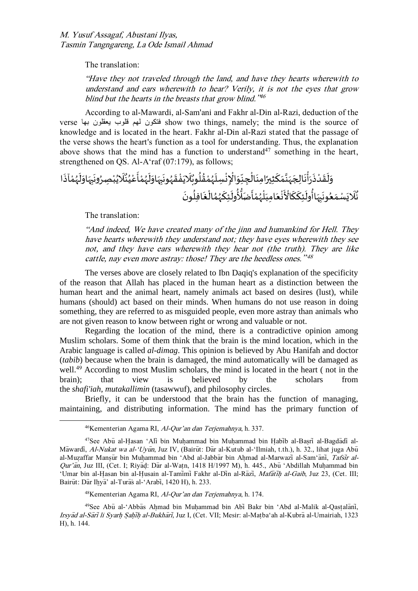The translation:

"Have they not traveled through the land, and have they hearts wherewith to understand and ears wherewith to hear? Verily, it is not the eyes that grow blind but the hearts in the breasts that grow blind.<sup> $346$ </sup>

According to al-Mawardi, al-Sam'ani and Fakhr al-Din al-Razi, deduction of the verse بها يعقلون قلوب لهم فتكون show two things, namely; the mind is the source of knowledge and is located in the heart. Fakhr al-Din al-Razi stated that the passage of the verse shows the heart's function as a tool for understanding. Thus, the explanation above shows that the mind has a function to understand<sup>47</sup> something in the heart, strengthened on QS. Al-A'raf (07:179), as follows;

 ه ِ ب ون ِصرُ ْ ب ُ ي َّل ٌ ن ُ ي ْ ع أ ْ م ُ ه ل او ه ِ ب ون ُ ه ق ْ ف ي َّل ٌ وب ُ ل ُ ق ْ م ُ ه ِسل ْ ن ِ ْ اإل ِو ِّ ِجن ْ ال ِمن ا ً ِ ير ث ك م ا ن ه ِلج ا ن ْ أ ر ذ ْ د ق ل و ا آذ ْ م ُ ه ل او ون ُ ع م سْ ي َّل ٌ ن ون ُ ِفل ا غ ْ ال ُ م ُ ه ِك ئ ول ُ ُّ ُّل ض أ ْ م ُ ه ْ ل ِمب ا ع ْ ن ْ اْل ك ِك ئ ول ُ اأ ه ِ ب

The translation:

"And indeed, We have created many of the jinn and humankind for Hell. They have hearts wherewith they understand not; they have eyes wherewith they see not, and they have ears wherewith they hear not (the truth). They are like cattle, nay even more astray: those! They are the heedless ones."<sup>48</sup>

The verses above are closely related to Ibn Daqiq's explanation of the specificity of the reason that Allah has placed in the human heart as a distinction between the human heart and the animal heart, namely animals act based on desires (lust), while humans (should) act based on their minds. When humans do not use reason in doing something, they are referred to as misguided people, even more astray than animals who are not given reason to know between right or wrong and valuable or not.

Regarding the location of the mind, there is a contradictive opinion among Muslim scholars. Some of them think that the brain is the mind location, which in the Arabic language is called *al-dimag*. This opinion is believed by Abu Hanifah and doctor (*tabib*) because when the brain is damaged, the mind automatically will be damaged as well.<sup>49</sup> According to most Muslim scholars, the mind is located in the heart (not in the brain); that view is believed by the scholars from the *shafi'iah*, *mutakallimin* (tasawwuf), and philosophy circles.

Briefly, it can be understood that the brain has the function of managing, maintaining, and distributing information. The mind has the primary function of

<sup>46</sup>Kementerian Agama RI, Al-Qur'an dan Terjemahnya, h. 337.

<sup>&</sup>lt;sup>47</sup>See Abū al-Hasan 'Ali bin Muhammad bin Muhammad bin Habib al-Basri al-Bagdadi al-Mawardi, Al-Nukat wa al-'Uyun, Juz IV, (Bairut: Dar al-Kutub al-'Ilmiah, t.th.), h. 32., lihat juga Abu al-Muzaffar Mansūr bin Muhammad bin 'Abd al-Jabbar bin Ahmad al-Marwazi al-Sam'ani, Tafsir al-Qur'an, Juz III, (Cet. I; Riyad: Dar al-Watn, 1418 H/1997 M), h. 445., Abu 'Abdillah Muhammad bin 'Umar bin al-Hasan bin al-Husain al-Tamimi Fakhr al-Din al-Razi, Mafatih al-Gaib, Juz 23, (Cet. III; Bairūt: Dār Ihvā' al-Turās al-'Arabī, 1420 H), h. 233.

<sup>48</sup>Kementerian Agama RI, Al-Qur'an dan Terjemahnya, h. 174.

<sup>&</sup>lt;sup>49</sup>See Abū al-'Abbas Ahmad bin Muhammad bin Abi Bakr bin 'Abd al-Malik al-Qastalani, Irsyad al-Sari li Syarh Sahih al-Bukhari, Juz I, (Cet. VII; Mesir: al-Matba'ah al-Kubra al-Umairiah, 1323 H), h. 144.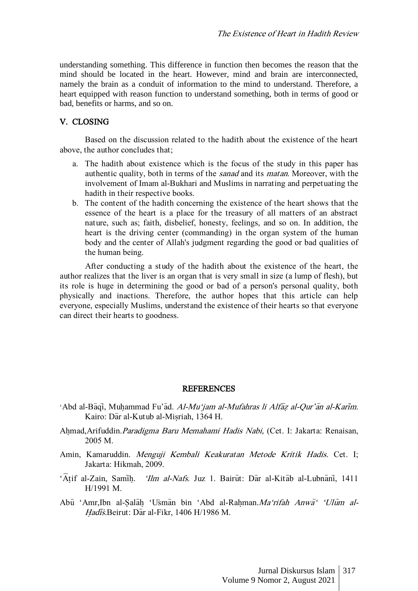understanding something. This difference in function then becomes the reason that the mind should be located in the heart. However, mind and brain are interconnected, namely the brain as a conduit of information to the mind to understand. Therefore, a heart equipped with reason function to understand something, both in terms of good or bad, benefits or harms, and so on.

# V. CLOSING

Based on the discussion related to the hadith about the existence of the heart above, the author concludes that;

- a. The hadith about existence which is the focus of the study in this paper has authentic quality, both in terms of the sanad and its matan. Moreover, with the involvement of Imam al-Bukhari and Muslims in narrating and perpetuating the hadith in their respective books.
- b. The content of the hadith concerning the existence of the heart shows that the essence of the heart is a place for the treasury of all matters of an abstract nature, such as; faith, disbelief, honesty, feelings, and so on. In addition, the heart is the driving center (commanding) in the organ system of the human body and the center of Allah's judgment regarding the good or bad qualities of the human being.

After conducting a study of the hadith about the existence of the heart, the author realizes that the liver is an organ that is very small in size (a lump of flesh), but its role is huge in determining the good or bad of a person's personal quality, both physically and inactions. Therefore, the author hopes that this article can help everyone, especially Muslims, understand the existence of their hearts so that everyone can direct their hearts to goodness.

#### **REFERENCES**

- 'Abd al-Bāqī, Muhammad Fu'ād. Al-Mu'jam al-Mufahras li Alfāz al-Qur'ān al-Karīm. Kairo: Dar al-Kutub al-Misriah, 1364 H.
- Ahmad, Arifuddin. Paradigma Baru Memahami Hadis Nabi, (Cet. I: Jakarta: Renaisan, 2005 M.
- Amin, Kamaruddin. Menguji Kembali Keakuratan Metode Kritik Hadis. Cet. I; Jakarta: Hikmah, 2009.
- 'Atif al-Zain, Samih. 'Ilm al-Nafs. Juz 1. Bairūt: Dar al-Kitab al-Lubnani, 1411 H/1991 M.
- Abu 'Amr,Ibn al-Salah 'Usman bin 'Abd al-Rahman.Ma'rifah Anwa' 'Ulum al-Hadis.Beirut: Dar al-Fikr, 1406 H/1986 M.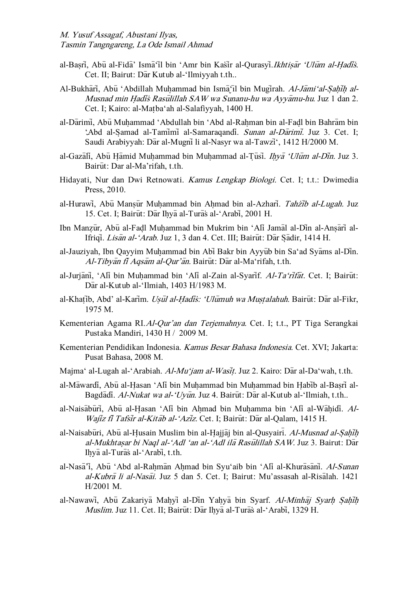- al-Basri, Abu al-Fida' Isma'il bin 'Amr bin Kasir al-Qurasyi.Ikhtisar 'Ulum al-Hadis. Cet. II; Bairut: Dar Kutub al-'Ilmiyyah t.th..
- Al-Bukhari, Abū 'Abdillah Muhammad bin Isma il bin Mugirah. Al-Jami'al-Sahih al-Musnad min Hadis Rasulillah SAW wa Sunanu-hu wa Ayyamu-hu. Juz 1 dan 2. Cet. I; Kairo: al-Matba'ah al-Salafiyyah, 1400 H.
- al-Darimi, Abu Muhammad 'Abdullah bin 'Abd al-Rahman bin al-Fadl bin Bahram bin 'Abd al-Samad al-Tamimi al-Samaraqandi. Sunan al-Darimi. Juz 3. Cet. I; Saudi Arabiyyah: Dar al-Mugni li al-Nasyr wa al-Tawzi', 1412 H/2000 M.
- al-Gaza $\overline{a}$ li, Abu H $\overline{a}$ mid Muhammad bin Muhammad al-Tusi. *Ihya 'Ulum al-Din.* Juz 3. Bairut: Dar al-Ma'rifah, t.th.
- Hidayati, Nur dan Dwi Retnowati. Kamus Lengkap Biologi. Cet. I; t.t.: Dwimedia Press, 2010.
- al-Hurawi, Abu Mansur Muhammad bin Ahmad bin al-Azhari. Tahzib al-Lugah. Juz 15. Cet. I; Bairūt: Dar Ihya al-Turas al-'Arabi, 2001 H.
- Ibn Manzūr, Abū al-Fadl Muhammad bin Mukrim bin 'Ali Jamāl al-Din al-Ansāri al-Ifriqi. Lisan al-'Arab. Juz 1, 3 dan 4. Cet. III; Bairut: Dar Sadir, 1414 H.
- al-Jauziyah, Ibn Qayyim Muhammad bin Abi Bakr bin Ayyub bin Sa'ad Syams al-Din. Al-Tibyan fi Aqsam al-Qur'an. Bairut: Dar al-Ma'rifah, t.th.
- al-Jurjani, 'Ali bin Muhammad bin 'Ali al-Zain al-Syarif. Al-Ta'rifat. Cet. I; Bairut: Dar al-Kutub al-'Ilmiah, 1403 H/1983 M.
- al-Khatib, Abd' al-Karim. Usul al-Hadis: 'Ulumuh wa Mustalahuh. Bairut: Dar al-Fikr, 1975 M.
- Kementerian Agama RI.Al-Qur'an dan Terjemahnya. Cet. I; t.t., PT Tiga Serangkai Pustaka Mandiri, 1430 H / 2009 M.
- Kementerian Pendidikan Indonesia. Kamus Besar Bahasa Indonesia. Cet. XVI; Jakarta: Pusat Bahasa, 2008 M.
- Majma' al-Lugah al-'Arabiah. Al-Mu'jam al-Wasit. Juz 2. Kairo: Dar al-Da'wah, t.th.
- al-Mawardi, Abu al-Hasan 'Ali bin Muhammad bin Muhammad bin Habib al-Basri al-Bagdadi. Al-Nukat wa al-'Uyun. Juz 4. Bairut: Dar al-Kutub al-'Ilmiah, t.th..
- al-Naisaburi, Abu al-Hasan 'Ali bin Ahmad bin Muhamma bin 'Ali al-Wahidi. Al-Wajiz fi Tafsir al-Kitab al-'Aziz. Cet. I; Bairut: Dar al-Qalam, 1415 H.
- al-Naisabūri, Abū al-Husain Muslim bin al-Hajjāj bin al-Qusyairi. Al-Musnad al-Sahīh al-Mukhtasar bi Naql al-'Adl 'an al-'Adl ila Rasulillah SAW. Juz 3. Bairut: Dar Ihya al-Turas al-'Arabi, t.th.
- al-Nasa<sup>7</sup>i, Abū 'Abd al-Rahman Ahmad bin Syu'aib bin 'Ali al-Khurasani. Al-Sunan al-Kubra li al-Nasai. Juz 5 dan 5. Cet. I; Bairut: Mu'assasah al-Risalah. 1421 H/2001 M.
- al-Nawawi, Abu Zakariya Mahyi al-Din Yahya bin Syarf. Al-Minhaj Syarh Sahih Muslim. Juz 11. Cet. II; Bairūt: Dār Ihyā al-Turās al-'Arabī, 1329 H.